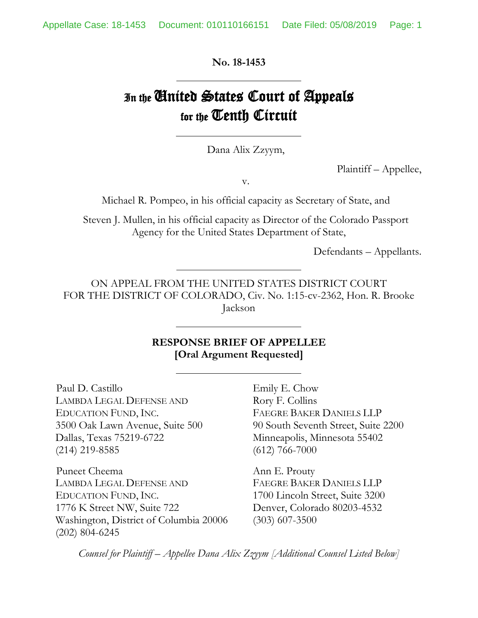**No. 18-1453**

# In the **Cinited States Court of Appeals** for the Tenth Circuit

Dana Alix Zzyym,

Plaintiff – Appellee,

v.

Michael R. Pompeo, in his official capacity as Secretary of State, and

Steven J. Mullen, in his official capacity as Director of the Colorado Passport Agency for the United States Department of State,

Defendants – Appellants.

ON APPEAL FROM THE UNITED STATES DISTRICT COURT FOR THE DISTRICT OF COLORADO, Civ. No. 1:15-cv-2362, Hon. R. Brooke Jackson

#### **RESPONSE BRIEF OF APPELLEE [Oral Argument Requested]**

Paul D. Castillo Emily E. Chow LAMBDA LEGAL DEFENSE AND Rory F. Collins EDUCATION FUND, INC. FAEGRE BAKER DANIELS LLP Dallas, Texas 75219-6722 Minneapolis, Minnesota 55402 (214) 219-8585 (612) 766-7000

Puneet Cheema Ann E. Prouty LAMBDA LEGAL DEFENSE AND FAEGRE BAKER DANIELS LLP EDUCATION FUND, INC. 1700 Lincoln Street, Suite 3200 1776 K Street NW, Suite 722 Denver, Colorado 80203-4532 Washington, District of Columbia 20006 (303) 607-3500 (202) 804-6245

3500 Oak Lawn Avenue, Suite 500 90 South Seventh Street, Suite 2200

*Counsel for Plaintiff – Appellee Dana Alix Zzyym [Additional Counsel Listed Below]*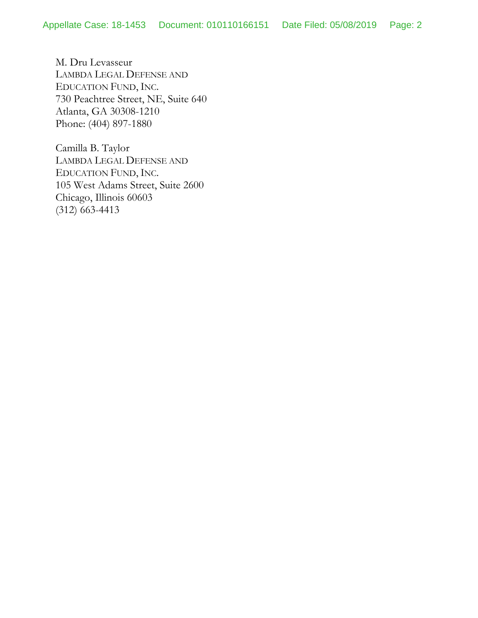M. Dru Levasseur LAMBDA LEGAL DEFENSE AND EDUCATION FUND, INC. 730 Peachtree Street, NE, Suite 640 Atlanta, GA 30308-1210 Phone: (404) 897-1880

Camilla B. Taylor LAMBDA LEGAL DEFENSE AND EDUCATION FUND, INC. 105 West Adams Street, Suite 2600 Chicago, Illinois 60603 (312) 663-4413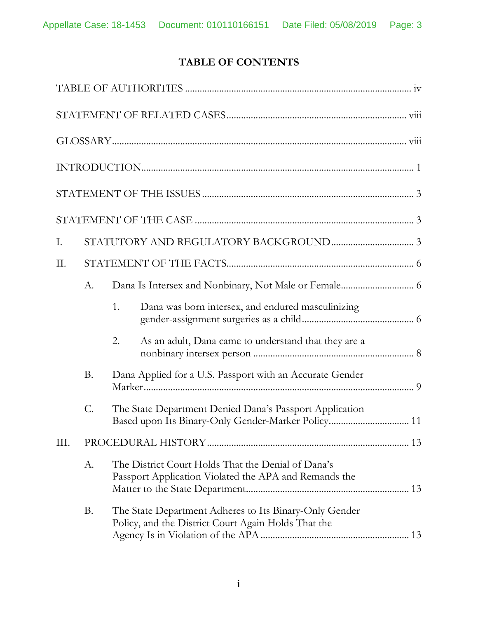# **TABLE OF CONTENTS**

| Ι.  |           |    |                                                                                                               |  |
|-----|-----------|----|---------------------------------------------------------------------------------------------------------------|--|
| II. |           |    |                                                                                                               |  |
|     | A.        |    |                                                                                                               |  |
|     |           | 1. | Dana was born intersex, and endured masculinizing                                                             |  |
|     |           | 2. | As an adult, Dana came to understand that they are a                                                          |  |
|     | <b>B.</b> |    | Dana Applied for a U.S. Passport with an Accurate Gender                                                      |  |
|     | C.        |    | The State Department Denied Dana's Passport Application                                                       |  |
| Ш.  |           |    |                                                                                                               |  |
|     | А.        |    | The District Court Holds That the Denial of Dana's<br>Passport Application Violated the APA and Remands the   |  |
|     | B.        |    | The State Department Adheres to Its Binary-Only Gender<br>Policy, and the District Court Again Holds That the |  |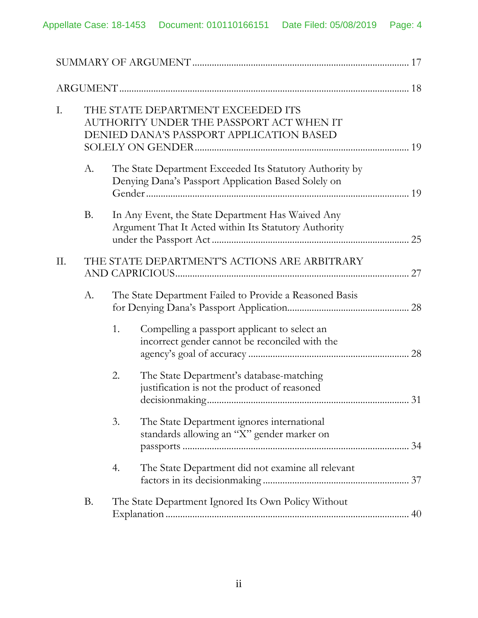| I. | THE STATE DEPARTMENT EXCEEDED ITS<br>AUTHORITY UNDER THE PASSPORT ACT WHEN IT<br>DENIED DANA'S PASSPORT APPLICATION BASED |                                                         |                                                                                                                 |    |  |
|----|---------------------------------------------------------------------------------------------------------------------------|---------------------------------------------------------|-----------------------------------------------------------------------------------------------------------------|----|--|
|    | A.                                                                                                                        |                                                         | The State Department Exceeded Its Statutory Authority by<br>Denying Dana's Passport Application Based Solely on |    |  |
|    | <b>B.</b>                                                                                                                 |                                                         | In Any Event, the State Department Has Waived Any<br>Argument That It Acted within Its Statutory Authority      | 25 |  |
| Π. |                                                                                                                           | THE STATE DEPARTMENT'S ACTIONS ARE ARBITRARY            |                                                                                                                 |    |  |
|    | A.                                                                                                                        | The State Department Failed to Provide a Reasoned Basis |                                                                                                                 |    |  |
|    |                                                                                                                           | 1.                                                      | Compelling a passport applicant to select an<br>incorrect gender cannot be reconciled with the                  |    |  |
|    |                                                                                                                           | 2.                                                      | The State Department's database-matching<br>justification is not the product of reasoned                        |    |  |
|    |                                                                                                                           | 3.                                                      | The State Department ignores international<br>standards allowing an "X" gender marker on                        |    |  |
|    |                                                                                                                           | 4.                                                      | The State Department did not examine all relevant                                                               |    |  |
|    | <b>B.</b>                                                                                                                 |                                                         | The State Department Ignored Its Own Policy Without                                                             |    |  |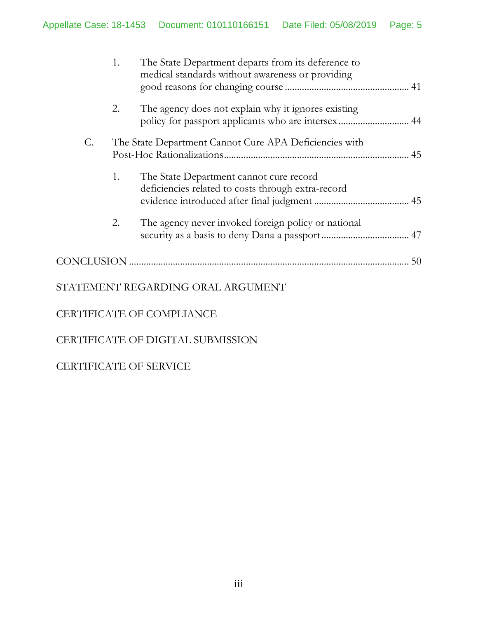|    | 1. | The State Department departs from its deference to<br>medical standards without awareness or providing    |  |
|----|----|-----------------------------------------------------------------------------------------------------------|--|
|    | 2. | The agency does not explain why it ignores existing<br>policy for passport applicants who are intersex 44 |  |
| C. |    | The State Department Cannot Cure APA Deficiencies with                                                    |  |
|    | 1. | The State Department cannot cure record<br>deficiencies related to costs through extra-record             |  |
|    | 2. | The agency never invoked foreign policy or national                                                       |  |
|    |    |                                                                                                           |  |
|    |    | STATEMENT REGARDING ORAL ARGUMENT                                                                         |  |
|    |    | CERTIFICATE OF COMPLIANCE                                                                                 |  |

CERTIFICATE OF DIGITAL SUBMISSION

# CERTIFICATE OF SERVICE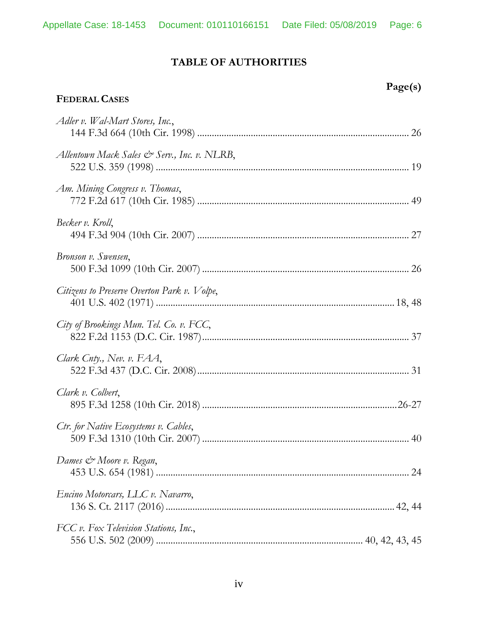# **TABLE OF AUTHORITIES**

| <b>FEDERAL CASES</b>                        | Page(s) |
|---------------------------------------------|---------|
| Adler v. Wal-Mart Stores, Inc.,             |         |
| Allentown Mack Sales & Serv., Inc. v. NLRB, |         |
| Am. Mining Congress v. Thomas,              |         |
| Becker v. Kroll,                            |         |
| Bronson v. Swensen,                         |         |
| Citizens to Preserve Overton Park v. Volpe, |         |
| City of Brookings Mun. Tel. Co. v. FCC,     |         |
| Clark Cnty., Nev. v. FAA,                   |         |
| Clark v. Colbert,                           |         |
| Ctr. for Native Ecosystems v. Cables,       |         |
| Dames & Moore v. Regan,                     |         |
| Encino Motorcars, LLC v. Navarro,           |         |
| FCC v. Fox Television Stations, Inc.,       |         |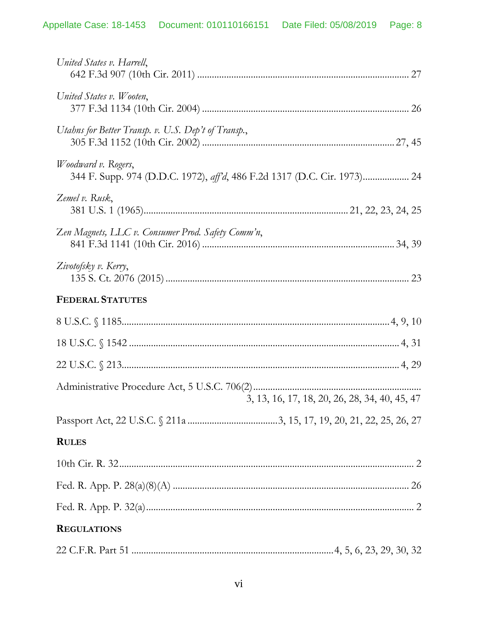| United States v. Harrell,                                                                              |
|--------------------------------------------------------------------------------------------------------|
| United States v. Wooten,                                                                               |
| Utahns for Better Transp. v. U.S. Dep't of Transp.,                                                    |
| <i>Woodward v. Rogers,</i><br>344 F. Supp. 974 (D.D.C. 1972), aff'd, 486 F.2d 1317 (D.C. Cir. 1973) 24 |
| Zemel v. Rusk,                                                                                         |
| Zen Magnets, LLC v. Consumer Prod. Safety Comm'n,                                                      |
| Zivotofsky v. Kerry,                                                                                   |
| <b>FEDERAL STATUTES</b>                                                                                |
|                                                                                                        |
|                                                                                                        |
|                                                                                                        |
| 3, 13, 16, 17, 18, 20, 26, 28, 34, 40, 45, 47                                                          |
|                                                                                                        |
| <b>RULES</b>                                                                                           |
|                                                                                                        |
|                                                                                                        |
|                                                                                                        |
| <b>REGULATIONS</b>                                                                                     |
|                                                                                                        |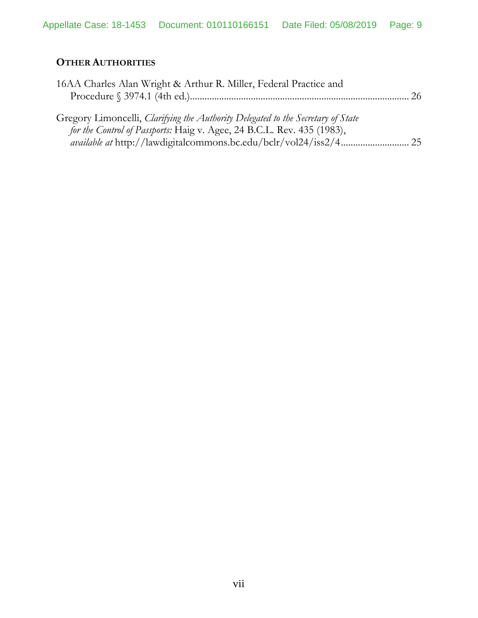# **OTHER AUTHORITIES**

| 16AA Charles Alan Wright & Arthur R. Miller, Federal Practice and                |  |
|----------------------------------------------------------------------------------|--|
| Gregory Limoncelli, Clarifying the Authority Delegated to the Secretary of State |  |
| for the Control of Passports: Haig v. Agee, 24 B.C.L. Rev. 435 (1983),           |  |
|                                                                                  |  |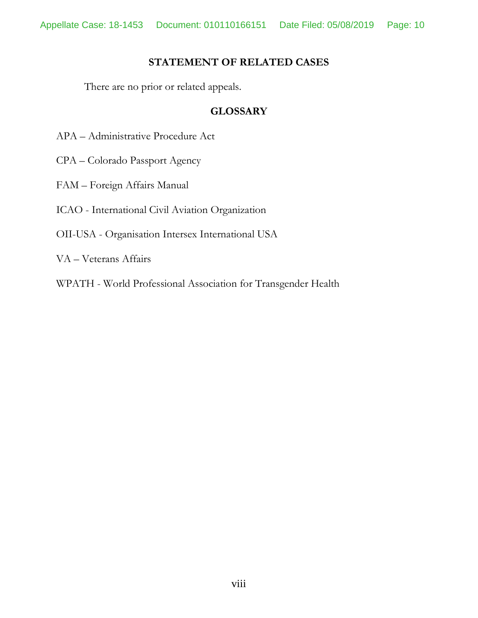#### **STATEMENT OF RELATED CASES**

There are no prior or related appeals.

#### **GLOSSARY**

- APA Administrative Procedure Act
- CPA Colorado Passport Agency
- FAM Foreign Affairs Manual
- ICAO International Civil Aviation Organization
- OII-USA Organisation Intersex International USA
- VA Veterans Affairs
- WPATH World Professional Association for Transgender Health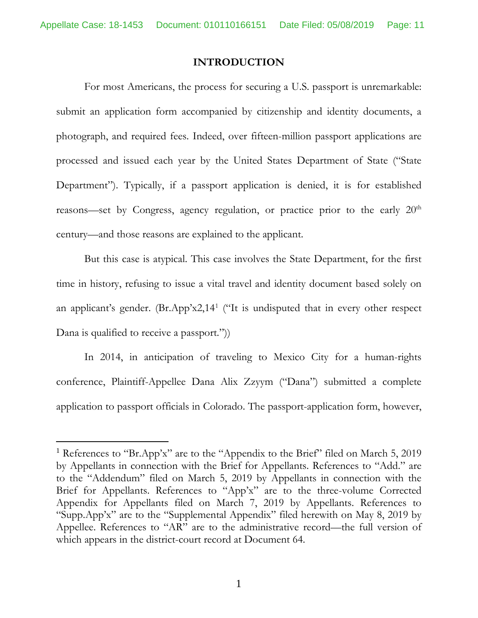#### **INTRODUCTION**

For most Americans, the process for securing a U.S. passport is unremarkable: submit an application form accompanied by citizenship and identity documents, a photograph, and required fees. Indeed, over fifteen-million passport applications are processed and issued each year by the United States Department of State ("State Department"). Typically, if a passport application is denied, it is for established reasons—set by Congress, agency regulation, or practice prior to the early 20<sup>th</sup> century—and those reasons are explained to the applicant.

But this case is atypical. This case involves the State Department, for the first time in history, refusing to issue a vital travel and identity document based solely on an applicant's gender. (Br.App'x2,14[1](#page-10-0) ("It is undisputed that in every other respect Dana is qualified to receive a passport.")

In 2014, in anticipation of traveling to Mexico City for a human-rights conference, Plaintiff-Appellee Dana Alix Zzyym ("Dana") submitted a complete application to passport officials in Colorado. The passport-application form, however,

<span id="page-10-0"></span><sup>&</sup>lt;sup>1</sup> References to "Br.App'x" are to the "Appendix to the Brief" filed on March 5, 2019 by Appellants in connection with the Brief for Appellants. References to "Add." are to the "Addendum" filed on March 5, 2019 by Appellants in connection with the Brief for Appellants. References to "App'x" are to the three-volume Corrected Appendix for Appellants filed on March 7, 2019 by Appellants. References to "Supp.App'x" are to the "Supplemental Appendix" filed herewith on May 8, 2019 by Appellee. References to "AR" are to the administrative record—the full version of which appears in the district-court record at Document 64.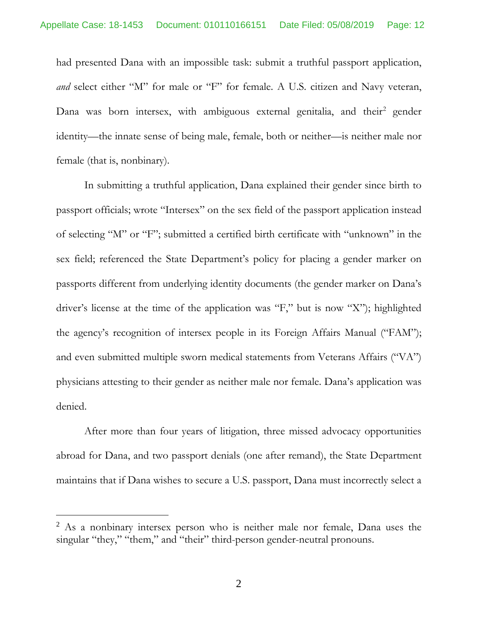had presented Dana with an impossible task: submit a truthful passport application, and select either "M" for male or "F" for female. A U.S. citizen and Navy veteran, Dana was born intersex, with ambiguous external genitalia, and their<sup>[2](#page-11-0)</sup> gender identity—the innate sense of being male, female, both or neither—is neither male nor female (that is, nonbinary).

In submitting a truthful application, Dana explained their gender since birth to passport officials; wrote "Intersex" on the sex field of the passport application instead of selecting "M" or "F"; submitted a certified birth certificate with "unknown" in the sex field; referenced the State Department's policy for placing a gender marker on passports different from underlying identity documents (the gender marker on Dana's driver's license at the time of the application was "F," but is now "X"); highlighted the agency's recognition of intersex people in its Foreign Affairs Manual ("FAM"); and even submitted multiple sworn medical statements from Veterans Affairs ("VA") physicians attesting to their gender as neither male nor female. Dana's application was denied.

After more than four years of litigation, three missed advocacy opportunities abroad for Dana, and two passport denials (one after remand), the State Department maintains that if Dana wishes to secure a U.S. passport, Dana must incorrectly select a

<span id="page-11-0"></span><sup>&</sup>lt;sup>2</sup> As a nonbinary intersex person who is neither male nor female, Dana uses the singular "they," "them," and "their" third-person gender-neutral pronouns.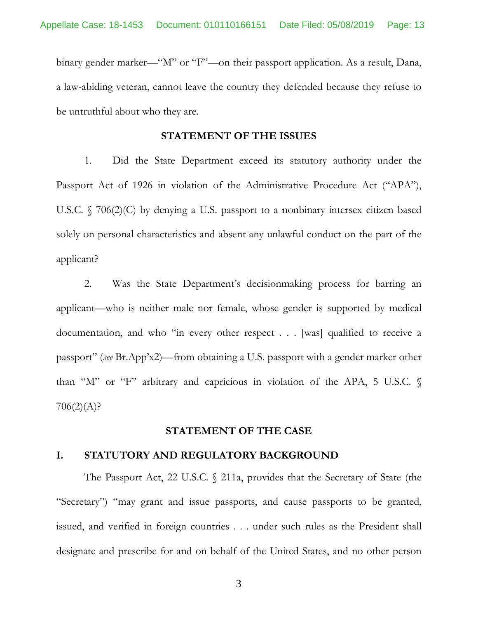binary gender marker—"M" or "F"—on their passport application. As a result, Dana, a law-abiding veteran, cannot leave the country they defended because they refuse to be untruthful about who they are.

#### **STATEMENT OF THE ISSUES**

<span id="page-12-0"></span>1. Did the State Department exceed its statutory authority under the Passport Act of 1926 in violation of the Administrative Procedure Act ("APA"), U.S.C. § 706(2)(C) by denying a U.S. passport to a nonbinary intersex citizen based solely on personal characteristics and absent any unlawful conduct on the part of the applicant?

2. Was the State Department's decisionmaking process for barring an applicant—who is neither male nor female, whose gender is supported by medical documentation, and who "in every other respect . . . [was] qualified to receive a passport" (*see* Br.App'x2)—from obtaining a U.S. passport with a gender marker other than "M" or "F" arbitrary and capricious in violation of the APA, 5 U.S.C. §  $706(2)(A)$ ?

#### **STATEMENT OF THE CASE**

#### **I. STATUTORY AND REGULATORY BACKGROUND**

The Passport Act, 22 U.S.C. § 211a, provides that the Secretary of State (the "Secretary") "may grant and issue passports, and cause passports to be granted, issued, and verified in foreign countries . . . under such rules as the President shall designate and prescribe for and on behalf of the United States, and no other person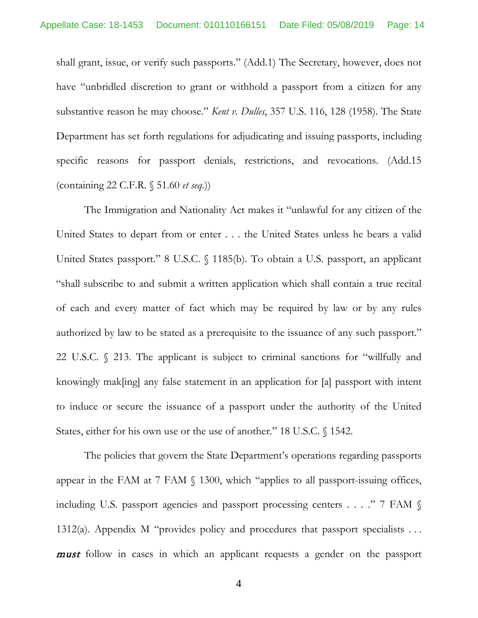<span id="page-13-0"></span>shall grant, issue, or verify such passports." (Add.1) The Secretary, however, does not have "unbridled discretion to grant or withhold a passport from a citizen for any substantive reason he may choose." *Kent v. Dulles*, 357 U.S. 116, 128 (1958). The State Department has set forth regulations for adjudicating and issuing passports, including specific reasons for passport denials, restrictions, and revocations. (Add.15 (containing 22 C.F.R. § 51.60 *et seq.*))

The Immigration and Nationality Act makes it "unlawful for any citizen of the United States to depart from or enter . . . the United States unless he bears a valid United States passport." 8 U.S.C. § 1185(b). To obtain a U.S. passport, an applicant "shall subscribe to and submit a written application which shall contain a true recital of each and every matter of fact which may be required by law or by any rules authorized by law to be stated as a prerequisite to the issuance of any such passport." 22 U.S.C. § 213. The applicant is subject to criminal sanctions for "willfully and knowingly mak[ing] any false statement in an application for [a] passport with intent to induce or secure the issuance of a passport under the authority of the United States, either for his own use or the use of another." 18 U.S.C. § 1542.

<span id="page-13-2"></span><span id="page-13-1"></span>The policies that govern the State Department's operations regarding passports appear in the FAM at 7 FAM § 1300, which "applies to all passport-issuing offices, including U.S. passport agencies and passport processing centers . . . ." 7 FAM § 1312(a). Appendix M "provides policy and procedures that passport specialists . . . **must** follow in cases in which an applicant requests a gender on the passport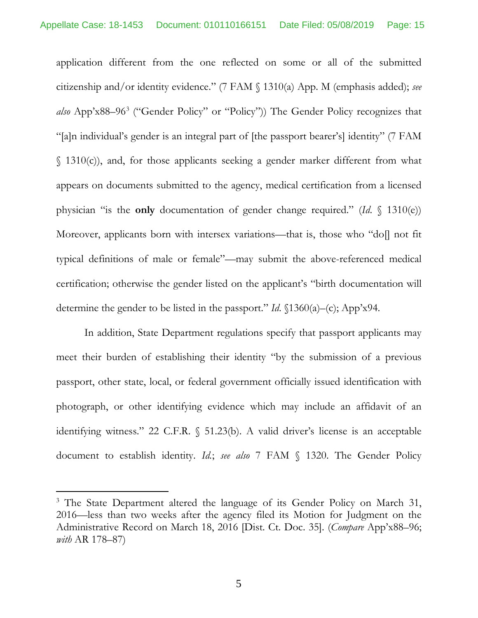application different from the one reflected on some or all of the submitted citizenship and/or identity evidence." (7 FAM § 1310(a) App. M (emphasis added); *see also* App'x88–96[3](#page-14-0) ("Gender Policy" or "Policy")) The Gender Policy recognizes that "[a]n individual's gender is an integral part of [the passport bearer's] identity" (7 FAM  $\binom{1310(c)}{c}$ , and, for those applicants seeking a gender marker different from what appears on documents submitted to the agency, medical certification from a licensed physician "is the **only** documentation of gender change required." (*Id*. § 1310(e)) Moreover, applicants born with intersex variations—that is, those who "do[] not fit typical definitions of male or female"—may submit the above-referenced medical certification; otherwise the gender listed on the applicant's "birth documentation will determine the gender to be listed in the passport." *Id*. §1360(a)–(c); App'x94.

In addition, State Department regulations specify that passport applicants may meet their burden of establishing their identity "by the submission of a previous passport, other state, local, or federal government officially issued identification with photograph, or other identifying evidence which may include an affidavit of an identifying witness." 22 C.F.R. § 51.23(b). A valid driver's license is an acceptable document to establish identity. *Id.*; *see also* 7 FAM § 1320. The Gender Policy

<span id="page-14-0"></span><sup>&</sup>lt;sup>3</sup> The State Department altered the language of its Gender Policy on March 31, 2016—less than two weeks after the agency filed its Motion for Judgment on the Administrative Record on March 18, 2016 [Dist. Ct. Doc. 35]. (*Compare* App'x88–96; *with* AR 178–87)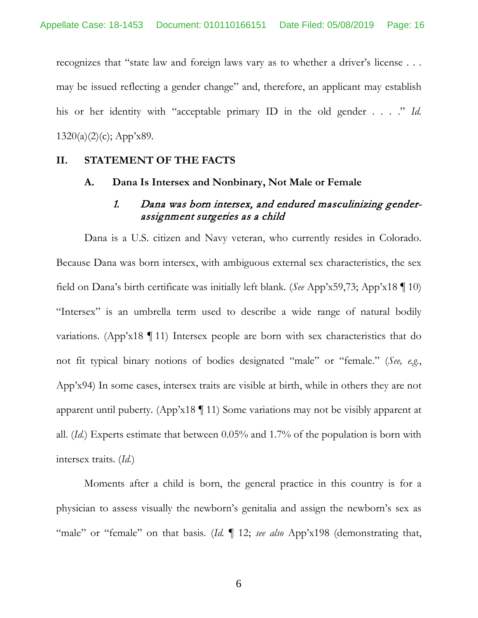recognizes that "state law and foreign laws vary as to whether a driver's license . . . may be issued reflecting a gender change" and, therefore, an applicant may establish his or her identity with "acceptable primary ID in the old gender . . . ." *Id.*  $1320(a)(2)(c)$ ; App'x89.

#### **II. STATEMENT OF THE FACTS**

#### **A. Dana Is Intersex and Nonbinary, Not Male or Female**

#### 1. Dana was born intersex, and endured masculinizing genderassignment surgeries as a child

Dana is a U.S. citizen and Navy veteran, who currently resides in Colorado. Because Dana was born intersex, with ambiguous external sex characteristics, the sex field on Dana's birth certificate was initially left blank. (*See* App'x59,73; App'x18 ¶ 10) "Intersex" is an umbrella term used to describe a wide range of natural bodily variations. (App'x18 ¶ 11) Intersex people are born with sex characteristics that do not fit typical binary notions of bodies designated "male" or "female." (*See, e.g.*, App'x94) In some cases, intersex traits are visible at birth, while in others they are not apparent until puberty. (App'x18 ¶ 11) Some variations may not be visibly apparent at all. (*Id.*) Experts estimate that between 0.05% and 1.7% of the population is born with intersex traits. (*Id.*)

Moments after a child is born, the general practice in this country is for a physician to assess visually the newborn's genitalia and assign the newborn's sex as "male" or "female" on that basis. (*Id.*  $\llbracket$  12; *see also* App'x198 (demonstrating that,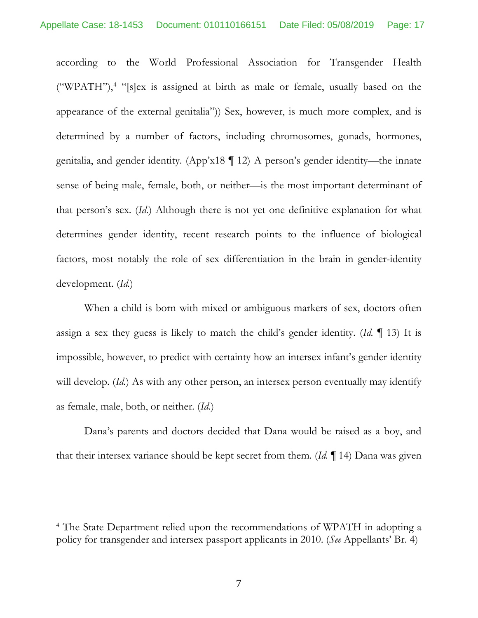according to the World Professional Association for Transgender Health ("WPATH"), $4$  "[s]ex is assigned at birth as male or female, usually based on the appearance of the external genitalia")) Sex, however, is much more complex, and is determined by a number of factors, including chromosomes, gonads, hormones, genitalia, and gender identity. (App'x18 ¶ 12) A person's gender identity—the innate sense of being male, female, both, or neither—is the most important determinant of that person's sex. (*Id.*) Although there is not yet one definitive explanation for what determines gender identity, recent research points to the influence of biological factors, most notably the role of sex differentiation in the brain in gender-identity development. (*Id.*)

When a child is born with mixed or ambiguous markers of sex, doctors often assign a sex they guess is likely to match the child's gender identity. (*Id.* ¶ 13) It is impossible, however, to predict with certainty how an intersex infant's gender identity will develop. *(Id.)* As with any other person, an intersex person eventually may identify as female, male, both, or neither. (*Id.*)

Dana's parents and doctors decided that Dana would be raised as a boy, and that their intersex variance should be kept secret from them. (*Id.* ¶ 14) Dana was given

<span id="page-16-0"></span><sup>4</sup> The State Department relied upon the recommendations of WPATH in adopting a policy for transgender and intersex passport applicants in 2010. (*See* Appellants' Br. 4)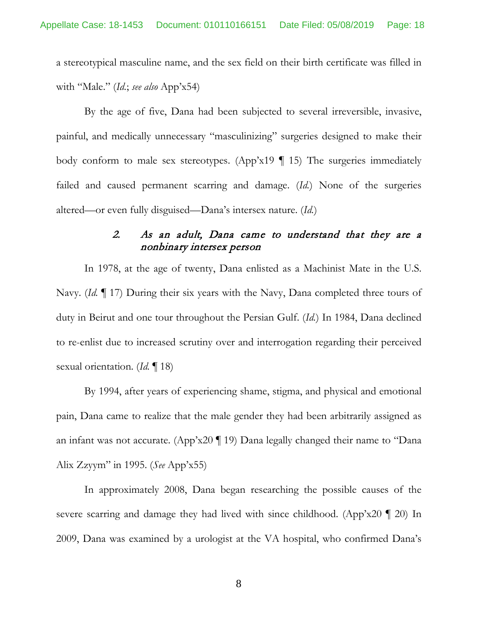a stereotypical masculine name, and the sex field on their birth certificate was filled in with "Male." (*Id.*; *see also* App'x54)

By the age of five, Dana had been subjected to several irreversible, invasive, painful, and medically unnecessary "masculinizing" surgeries designed to make their body conform to male sex stereotypes. (App'x19  $\P$  15) The surgeries immediately failed and caused permanent scarring and damage. (*Id.*) None of the surgeries altered—or even fully disguised—Dana's intersex nature. (*Id.*)

### 2. As an adult, Dana came to understand that they are a nonbinary intersex person

In 1978, at the age of twenty, Dana enlisted as a Machinist Mate in the U.S. Navy. (*Id.* ¶ 17) During their six years with the Navy, Dana completed three tours of duty in Beirut and one tour throughout the Persian Gulf. (*Id.*) In 1984, Dana declined to re-enlist due to increased scrutiny over and interrogation regarding their perceived sexual orientation. (*Id.* ¶ 18)

By 1994, after years of experiencing shame, stigma, and physical and emotional pain, Dana came to realize that the male gender they had been arbitrarily assigned as an infant was not accurate. (App'x20 ¶ 19) Dana legally changed their name to "Dana Alix Zzyym" in 1995. (*See* App'x55)

In approximately 2008, Dana began researching the possible causes of the severe scarring and damage they had lived with since childhood. (App'x20 ¶ 20) In 2009, Dana was examined by a urologist at the VA hospital, who confirmed Dana's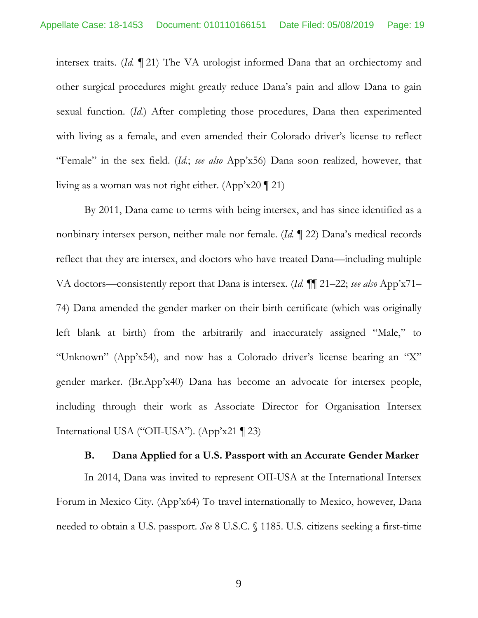intersex traits. (*Id.* ¶ 21) The VA urologist informed Dana that an orchiectomy and other surgical procedures might greatly reduce Dana's pain and allow Dana to gain sexual function. (*Id.*) After completing those procedures, Dana then experimented with living as a female, and even amended their Colorado driver's license to reflect "Female" in the sex field. (*Id.*; *see also* App'x56) Dana soon realized, however, that living as a woman was not right either. (App'x20 ¶ 21)

By 2011, Dana came to terms with being intersex, and has since identified as a nonbinary intersex person, neither male nor female. (*Id.* ¶ 22) Dana's medical records reflect that they are intersex, and doctors who have treated Dana—including multiple VA doctors—consistently report that Dana is intersex. (*Id.* ¶¶ 21–22; *see also* App'x71– 74) Dana amended the gender marker on their birth certificate (which was originally left blank at birth) from the arbitrarily and inaccurately assigned "Male," to "Unknown" (App'x54), and now has a Colorado driver's license bearing an "X" gender marker. (Br.App'x40) Dana has become an advocate for intersex people, including through their work as Associate Director for Organisation Intersex International USA ("OII-USA"). (App'x21 ¶ 23)

#### <span id="page-18-0"></span>**B. Dana Applied for a U.S. Passport with an Accurate Gender Marker**

In 2014, Dana was invited to represent OII-USA at the International Intersex Forum in Mexico City. (App'x64) To travel internationally to Mexico, however, Dana needed to obtain a U.S. passport. *See* 8 U.S.C. § 1185. U.S. citizens seeking a first-time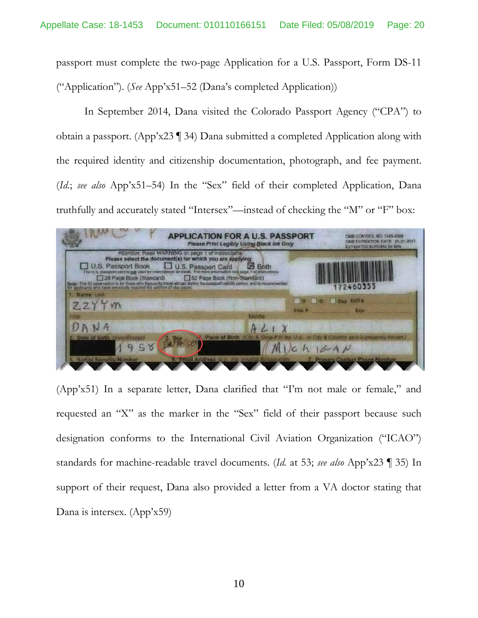passport must complete the two-page Application for a U.S. Passport, Form DS-11 ("Application"). (*See* App'x51–52 (Dana's completed Application))

In September 2014, Dana visited the Colorado Passport Agency ("CPA") to obtain a passport. (App'x23 ¶ 34) Dana submitted a completed Application along with the required identity and citizenship documentation, photograph, and fee payment. (*Id.*; *see also* App'x51–54) In the "Sex" field of their completed Application, Dana truthfully and accurately stated "Intersex"—instead of checking the "M" or "F" box:

<span id="page-19-0"></span>

(App'x51) In a separate letter, Dana clarified that "I'm not male or female," and requested an "X" as the marker in the "Sex" field of their passport because such designation conforms to the International Civil Aviation Organization ("ICAO") standards for machine-readable travel documents. (*Id.* at 53; *see also* App'x23 ¶ 35) In support of their request, Dana also provided a letter from a VA doctor stating that Dana is intersex. (App'x59)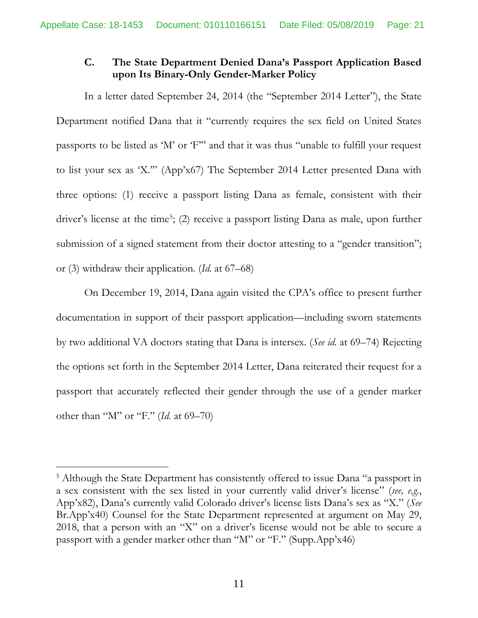### **C. The State Department Denied Dana's Passport Application Based upon Its Binary-Only Gender-Marker Policy**

In a letter dated September 24, 2014 (the "September 2014 Letter"), the State Department notified Dana that it "currently requires the sex field on United States passports to be listed as 'M' or 'F'" and that it was thus "unable to fulfill your request to list your sex as 'X.'" (App'x67) The September 2014 Letter presented Dana with three options: (1) receive a passport listing Dana as female, consistent with their driver's license at the time<sup>[5](#page-20-0)</sup>; (2) receive a passport listing Dana as male, upon further submission of a signed statement from their doctor attesting to a "gender transition"; or (3) withdraw their application. (*Id.* at 67–68)

On December 19, 2014, Dana again visited the CPA's office to present further documentation in support of their passport application—including sworn statements by two additional VA doctors stating that Dana is intersex. (*See id.* at 69–74) Rejecting the options set forth in the September 2014 Letter, Dana reiterated their request for a passport that accurately reflected their gender through the use of a gender marker other than "M" or "F." (*Id.* at 69–70)

<span id="page-20-0"></span><sup>&</sup>lt;sup>5</sup> Although the State Department has consistently offered to issue Dana "a passport in a sex consistent with the sex listed in your currently valid driver's license" (*see, e.g.*, App'x82), Dana's currently valid Colorado driver's license lists Dana's sex as "X." (*See*  Br.App'x40) Counsel for the State Department represented at argument on May 29, 2018, that a person with an "X" on a driver's license would not be able to secure a passport with a gender marker other than "M" or "F." (Supp.App'x46)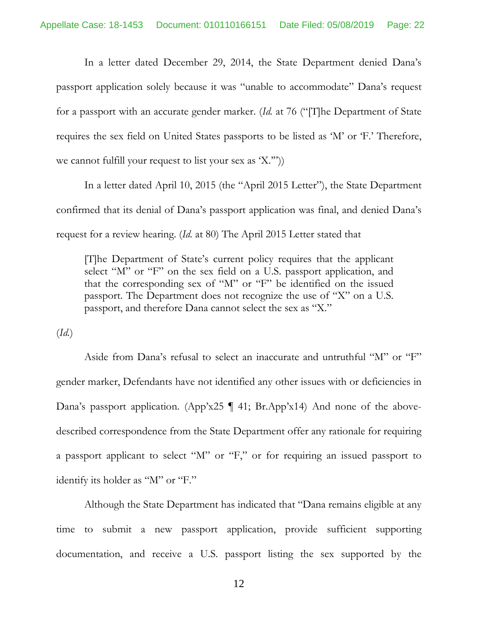In a letter dated December 29, 2014, the State Department denied Dana's passport application solely because it was "unable to accommodate" Dana's request for a passport with an accurate gender marker. (*Id.* at 76 ("[T]he Department of State requires the sex field on United States passports to be listed as 'M' or 'F.' Therefore, we cannot fulfill your request to list your sex as  $(X^{\prime\prime})$ .

In a letter dated April 10, 2015 (the "April 2015 Letter"), the State Department confirmed that its denial of Dana's passport application was final, and denied Dana's request for a review hearing. (*Id.* at 80) The April 2015 Letter stated that

[T]he Department of State's current policy requires that the applicant select "M" or "F" on the sex field on a U.S. passport application, and that the corresponding sex of "M" or "F" be identified on the issued passport. The Department does not recognize the use of "X" on a U.S. passport, and therefore Dana cannot select the sex as "X."

(*Id.*)

Aside from Dana's refusal to select an inaccurate and untruthful "M" or "F" gender marker, Defendants have not identified any other issues with or deficiencies in Dana's passport application. (App'x25 ¶ 41; Br.App'x14) And none of the abovedescribed correspondence from the State Department offer any rationale for requiring a passport applicant to select "M" or "F," or for requiring an issued passport to identify its holder as "M" or "F."

Although the State Department has indicated that "Dana remains eligible at any time to submit a new passport application, provide sufficient supporting documentation, and receive a U.S. passport listing the sex supported by the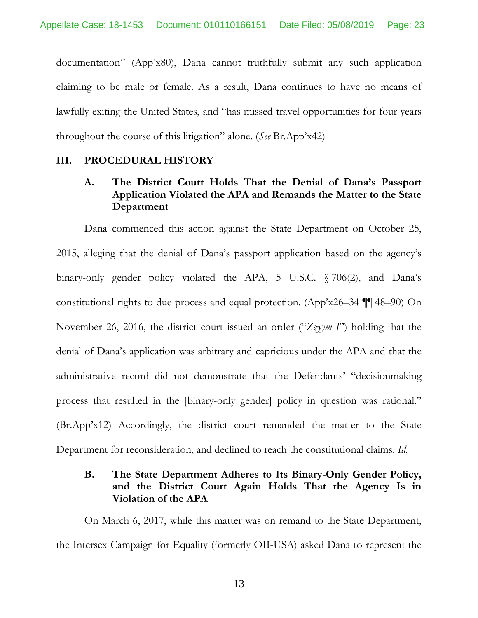documentation" (App'x80), Dana cannot truthfully submit any such application claiming to be male or female. As a result, Dana continues to have no means of lawfully exiting the United States, and "has missed travel opportunities for four years throughout the course of this litigation" alone. (*See* Br.App'x42)

#### **III. PROCEDURAL HISTORY**

### <span id="page-22-0"></span>**A. The District Court Holds That the Denial of Dana's Passport Application Violated the APA and Remands the Matter to the State Department**

Dana commenced this action against the State Department on October 25, 2015, alleging that the denial of Dana's passport application based on the agency's binary-only gender policy violated the APA, 5 U.S.C. § 706(2), and Dana's constitutional rights to due process and equal protection. (App'x26–34 ¶¶ 48–90) On November 26, 2016, the district court issued an order ("*Zzyym I*") holding that the denial of Dana's application was arbitrary and capricious under the APA and that the administrative record did not demonstrate that the Defendants' "decisionmaking process that resulted in the [binary-only gender] policy in question was rational." (Br.App'x12) Accordingly, the district court remanded the matter to the State Department for reconsideration, and declined to reach the constitutional claims. *Id.*

#### **B. The State Department Adheres to Its Binary-Only Gender Policy, and the District Court Again Holds That the Agency Is in Violation of the APA**

On March 6, 2017, while this matter was on remand to the State Department, the Intersex Campaign for Equality (formerly OII-USA) asked Dana to represent the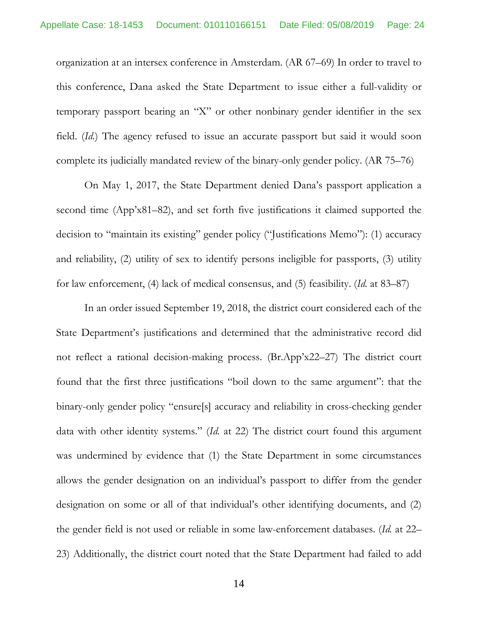organization at an intersex conference in Amsterdam. (AR 67–69) In order to travel to this conference, Dana asked the State Department to issue either a full-validity or temporary passport bearing an "X" or other nonbinary gender identifier in the sex field. (*Id.*) The agency refused to issue an accurate passport but said it would soon complete its judicially mandated review of the binary-only gender policy. (AR 75–76)

On May 1, 2017, the State Department denied Dana's passport application a second time (App'x81–82), and set forth five justifications it claimed supported the decision to "maintain its existing" gender policy ("Justifications Memo"): (1) accuracy and reliability, (2) utility of sex to identify persons ineligible for passports, (3) utility for law enforcement, (4) lack of medical consensus, and (5) feasibility. (*Id.* at 83–87)

In an order issued September 19, 2018, the district court considered each of the State Department's justifications and determined that the administrative record did not reflect a rational decision-making process. (Br.App'x22–27) The district court found that the first three justifications "boil down to the same argument": that the binary-only gender policy "ensure[s] accuracy and reliability in cross-checking gender data with other identity systems." (*Id.* at 22) The district court found this argument was undermined by evidence that (1) the State Department in some circumstances allows the gender designation on an individual's passport to differ from the gender designation on some or all of that individual's other identifying documents, and (2) the gender field is not used or reliable in some law-enforcement databases. (*Id.* at 22– 23) Additionally, the district court noted that the State Department had failed to add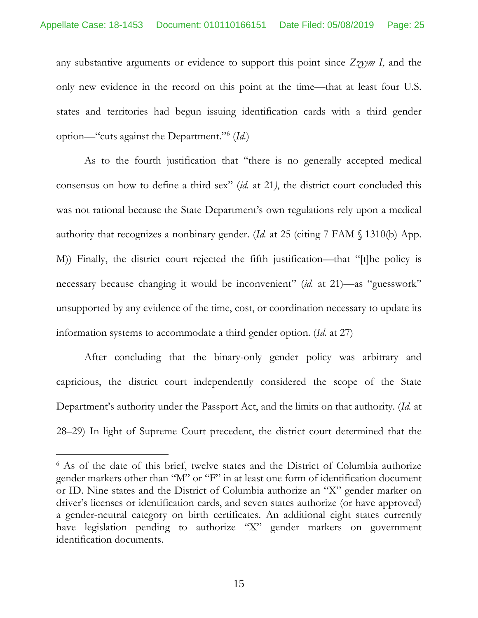any substantive arguments or evidence to support this point since *Zzyym I*, and the only new evidence in the record on this point at the time—that at least four U.S. states and territories had begun issuing identification cards with a third gender option—"cuts against the Department."[6](#page-24-1) (*Id.*)

As to the fourth justification that "there is no generally accepted medical consensus on how to define a third sex" (*id.* at 21*)*, the district court concluded this was not rational because the State Department's own regulations rely upon a medical authority that recognizes a nonbinary gender. (*Id.* at 25 (citing 7 FAM § 1310(b) App. M)) Finally, the district court rejected the fifth justification—that "[t]he policy is necessary because changing it would be inconvenient" (*id.* at 21)—as "guesswork" unsupported by any evidence of the time, cost, or coordination necessary to update its information systems to accommodate a third gender option. (*Id.* at 27)

<span id="page-24-0"></span>After concluding that the binary-only gender policy was arbitrary and capricious, the district court independently considered the scope of the State Department's authority under the Passport Act, and the limits on that authority. (*Id.* at 28–29) In light of Supreme Court precedent, the district court determined that the

<span id="page-24-1"></span><sup>&</sup>lt;sup>6</sup> As of the date of this brief, twelve states and the District of Columbia authorize gender markers other than "M" or "F" in at least one form of identification document or ID. Nine states and the District of Columbia authorize an "X" gender marker on driver's licenses or identification cards, and seven states authorize (or have approved) a gender-neutral category on birth certificates. An additional eight states currently have legislation pending to authorize "X" gender markers on government identification documents.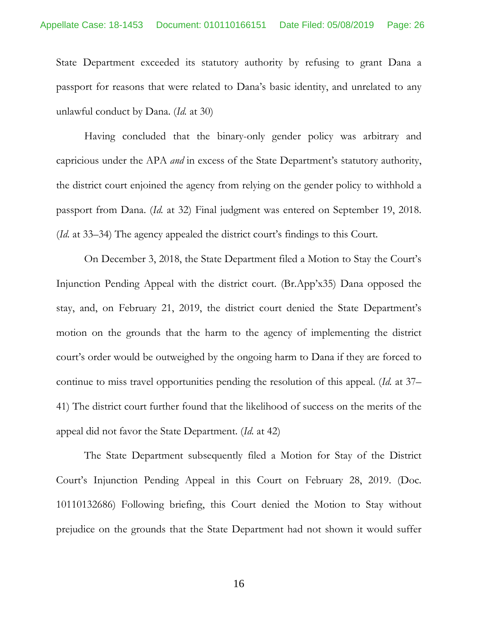State Department exceeded its statutory authority by refusing to grant Dana a passport for reasons that were related to Dana's basic identity, and unrelated to any unlawful conduct by Dana. (*Id.* at 30)

<span id="page-25-0"></span>Having concluded that the binary-only gender policy was arbitrary and capricious under the APA *and* in excess of the State Department's statutory authority, the district court enjoined the agency from relying on the gender policy to withhold a passport from Dana. (*Id.* at 32) Final judgment was entered on September 19, 2018. (*Id.* at 33–34) The agency appealed the district court's findings to this Court.

On December 3, 2018, the State Department filed a Motion to Stay the Court's Injunction Pending Appeal with the district court. (Br.App'x35) Dana opposed the stay, and, on February 21, 2019, the district court denied the State Department's motion on the grounds that the harm to the agency of implementing the district court's order would be outweighed by the ongoing harm to Dana if they are forced to continue to miss travel opportunities pending the resolution of this appeal. (*Id.* at 37– 41) The district court further found that the likelihood of success on the merits of the appeal did not favor the State Department. (*Id.* at 42)

The State Department subsequently filed a Motion for Stay of the District Court's Injunction Pending Appeal in this Court on February 28, 2019. (Doc. 10110132686) Following briefing, this Court denied the Motion to Stay without prejudice on the grounds that the State Department had not shown it would suffer

16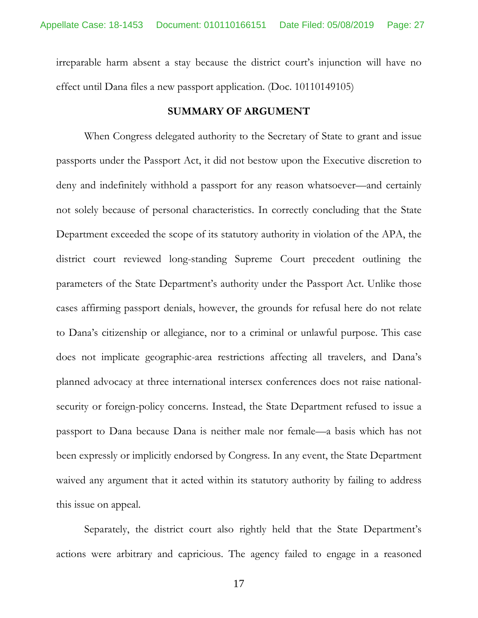irreparable harm absent a stay because the district court's injunction will have no effect until Dana files a new passport application. (Doc. 10110149105)

#### <span id="page-26-1"></span><span id="page-26-0"></span>**SUMMARY OF ARGUMENT**

When Congress delegated authority to the Secretary of State to grant and issue passports under the Passport Act, it did not bestow upon the Executive discretion to deny and indefinitely withhold a passport for any reason whatsoever—and certainly not solely because of personal characteristics. In correctly concluding that the State Department exceeded the scope of its statutory authority in violation of the APA, the district court reviewed long-standing Supreme Court precedent outlining the parameters of the State Department's authority under the Passport Act. Unlike those cases affirming passport denials, however, the grounds for refusal here do not relate to Dana's citizenship or allegiance, nor to a criminal or unlawful purpose. This case does not implicate geographic-area restrictions affecting all travelers, and Dana's planned advocacy at three international intersex conferences does not raise nationalsecurity or foreign-policy concerns. Instead, the State Department refused to issue a passport to Dana because Dana is neither male nor female—a basis which has not been expressly or implicitly endorsed by Congress. In any event, the State Department waived any argument that it acted within its statutory authority by failing to address this issue on appeal.

Separately, the district court also rightly held that the State Department's actions were arbitrary and capricious. The agency failed to engage in a reasoned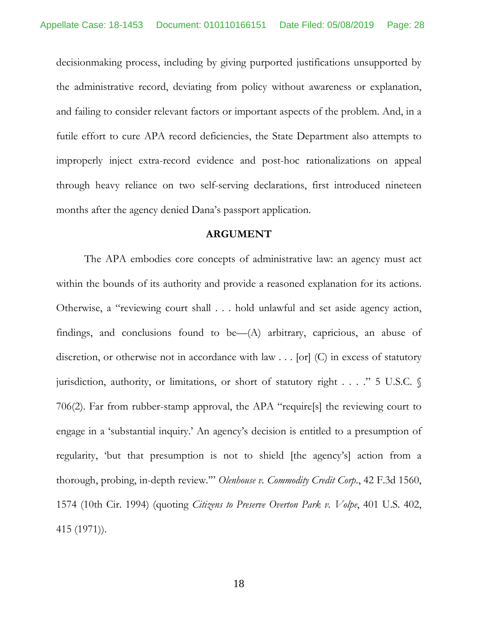decisionmaking process, including by giving purported justifications unsupported by the administrative record, deviating from policy without awareness or explanation, and failing to consider relevant factors or important aspects of the problem. And, in a futile effort to cure APA record deficiencies, the State Department also attempts to improperly inject extra-record evidence and post-hoc rationalizations on appeal through heavy reliance on two self-serving declarations, first introduced nineteen months after the agency denied Dana's passport application.

#### <span id="page-27-2"></span><span id="page-27-1"></span><span id="page-27-0"></span>**ARGUMENT**

The APA embodies core concepts of administrative law: an agency must act within the bounds of its authority and provide a reasoned explanation for its actions. Otherwise, a "reviewing court shall . . . hold unlawful and set aside agency action, findings, and conclusions found to be—(A) arbitrary, capricious, an abuse of discretion, or otherwise not in accordance with law . . . [or] (C) in excess of statutory jurisdiction, authority, or limitations, or short of statutory right . . . ." 5 U.S.C. § 706(2). Far from rubber-stamp approval, the APA "require[s] the reviewing court to engage in a 'substantial inquiry.' An agency's decision is entitled to a presumption of regularity, 'but that presumption is not to shield [the agency's] action from a thorough, probing, in-depth review.'" *Olenhouse v. Commodity Credit Corp*., 42 F.3d 1560, 1574 (10th Cir. 1994) (quoting *Citizens to Preserve Overton Park v. Volpe*, 401 U.S. 402, 415 (1971)).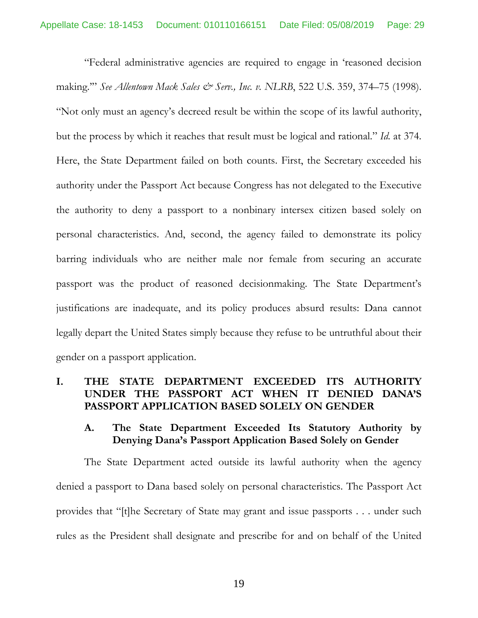<span id="page-28-1"></span><span id="page-28-0"></span>"Federal administrative agencies are required to engage in 'reasoned decision making.'" *See Allentown Mack Sales & Serv., Inc. v. NLRB*, 522 U.S. 359, 374–75 (1998). "Not only must an agency's decreed result be within the scope of its lawful authority, but the process by which it reaches that result must be logical and rational." *Id.* at 374. Here, the State Department failed on both counts. First, the Secretary exceeded his authority under the Passport Act because Congress has not delegated to the Executive the authority to deny a passport to a nonbinary intersex citizen based solely on personal characteristics. And, second, the agency failed to demonstrate its policy barring individuals who are neither male nor female from securing an accurate passport was the product of reasoned decisionmaking. The State Department's justifications are inadequate, and its policy produces absurd results: Dana cannot legally depart the United States simply because they refuse to be untruthful about their gender on a passport application.

#### **I. THE STATE DEPARTMENT EXCEEDED ITS AUTHORITY UNDER THE PASSPORT ACT WHEN IT DENIED DANA'S PASSPORT APPLICATION BASED SOLELY ON GENDER**

#### **A. The State Department Exceeded Its Statutory Authority by Denying Dana's Passport Application Based Solely on Gender**

The State Department acted outside its lawful authority when the agency denied a passport to Dana based solely on personal characteristics. The Passport Act provides that "[t]he Secretary of State may grant and issue passports . . . under such rules as the President shall designate and prescribe for and on behalf of the United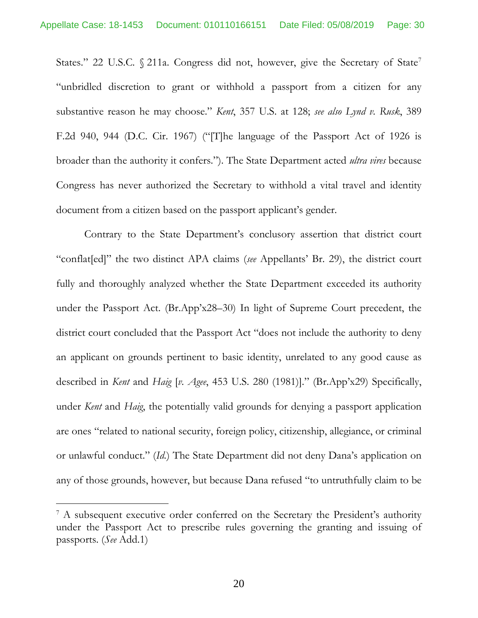<span id="page-29-4"></span><span id="page-29-2"></span><span id="page-29-1"></span>States." 22 U.S.C. § 211a. Congress did not, however, give the Secretary of State<sup>[7](#page-29-5)</sup> "unbridled discretion to grant or withhold a passport from a citizen for any substantive reason he may choose." *Kent*, 357 U.S. at 128; *see also Lynd v. Rusk*, 389 F.2d 940, 944 (D.C. Cir. 1967) ("[T]he language of the Passport Act of 1926 is broader than the authority it confers."). The State Department acted *ultra vires* because Congress has never authorized the Secretary to withhold a vital travel and identity document from a citizen based on the passport applicant's gender.

<span id="page-29-3"></span>Contrary to the State Department's conclusory assertion that district court "conflat[ed]" the two distinct APA claims (*see* Appellants' Br. 29), the district court fully and thoroughly analyzed whether the State Department exceeded its authority under the Passport Act. (Br.App'x28–30) In light of Supreme Court precedent, the district court concluded that the Passport Act "does not include the authority to deny an applicant on grounds pertinent to basic identity, unrelated to any good cause as described in *Kent* and *Haig* [*v. Agee*, 453 U.S. 280 (1981)]." (Br.App'x29) Specifically, under *Kent* and *Haig*, the potentially valid grounds for denying a passport application are ones "related to national security, foreign policy, citizenship, allegiance, or criminal or unlawful conduct." (*Id.*) The State Department did not deny Dana's application on any of those grounds, however, but because Dana refused "to untruthfully claim to be

<span id="page-29-5"></span><span id="page-29-0"></span><sup>&</sup>lt;sup>7</sup> A subsequent executive order conferred on the Secretary the President's authority under the Passport Act to prescribe rules governing the granting and issuing of passports. (*See* Add.1)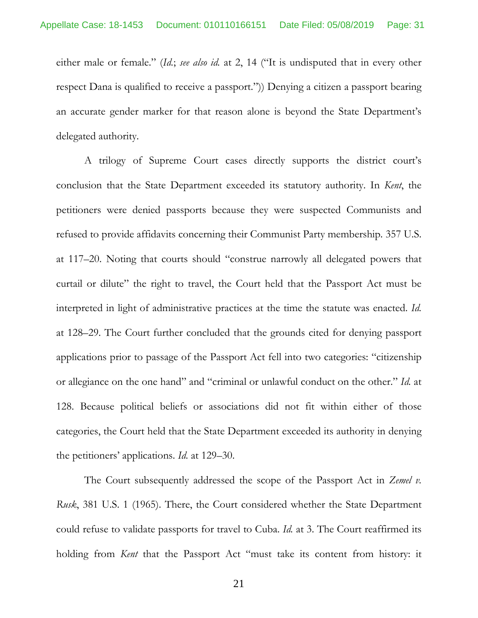either male or female." (*Id.*; *see also id.* at 2, 14 ("It is undisputed that in every other respect Dana is qualified to receive a passport.")) Denying a citizen a passport bearing an accurate gender marker for that reason alone is beyond the State Department's delegated authority.

<span id="page-30-2"></span><span id="page-30-0"></span>A trilogy of Supreme Court cases directly supports the district court's conclusion that the State Department exceeded its statutory authority. In *Kent*, the petitioners were denied passports because they were suspected Communists and refused to provide affidavits concerning their Communist Party membership. 357 U.S. at 117–20. Noting that courts should "construe narrowly all delegated powers that curtail or dilute" the right to travel, the Court held that the Passport Act must be interpreted in light of administrative practices at the time the statute was enacted. *Id.* at 128–29. The Court further concluded that the grounds cited for denying passport applications prior to passage of the Passport Act fell into two categories: "citizenship or allegiance on the one hand" and "criminal or unlawful conduct on the other." *Id.* at 128. Because political beliefs or associations did not fit within either of those categories, the Court held that the State Department exceeded its authority in denying the petitioners' applications. *Id.* at 129–30.

<span id="page-30-1"></span>The Court subsequently addressed the scope of the Passport Act in *Zemel v. Rusk*, 381 U.S. 1 (1965). There, the Court considered whether the State Department could refuse to validate passports for travel to Cuba. *Id.* at 3. The Court reaffirmed its holding from *Kent* that the Passport Act "must take its content from history: it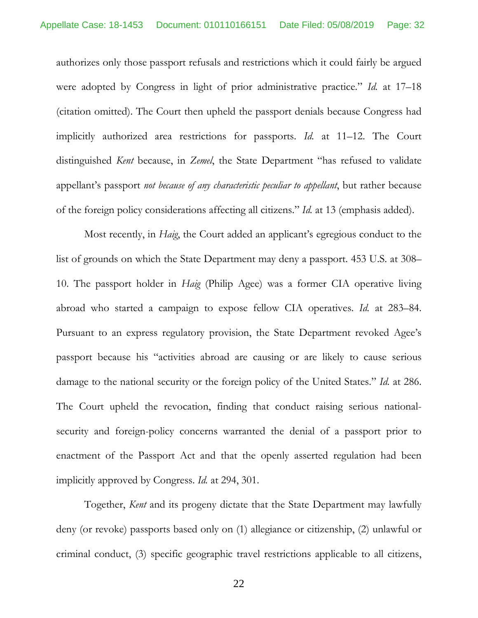authorizes only those passport refusals and restrictions which it could fairly be argued were adopted by Congress in light of prior administrative practice." *Id.* at 17–18 (citation omitted). The Court then upheld the passport denials because Congress had implicitly authorized area restrictions for passports. *Id.* at 11–12. The Court distinguished *Kent* because, in *Zemel*, the State Department "has refused to validate appellant's passport *not because of any characteristic peculiar to appellant*, but rather because of the foreign policy considerations affecting all citizens." *Id.* at 13 (emphasis added).

<span id="page-31-2"></span><span id="page-31-1"></span><span id="page-31-0"></span>Most recently, in *Haig*, the Court added an applicant's egregious conduct to the list of grounds on which the State Department may deny a passport. 453 U.S. at 308– 10. The passport holder in *Haig* (Philip Agee) was a former CIA operative living abroad who started a campaign to expose fellow CIA operatives. *Id.* at 283–84. Pursuant to an express regulatory provision, the State Department revoked Agee's passport because his "activities abroad are causing or are likely to cause serious damage to the national security or the foreign policy of the United States." *Id.* at 286. The Court upheld the revocation, finding that conduct raising serious nationalsecurity and foreign-policy concerns warranted the denial of a passport prior to enactment of the Passport Act and that the openly asserted regulation had been implicitly approved by Congress. *Id.* at 294, 301.

<span id="page-31-3"></span>Together, *Kent* and its progeny dictate that the State Department may lawfully deny (or revoke) passports based only on (1) allegiance or citizenship, (2) unlawful or criminal conduct, (3) specific geographic travel restrictions applicable to all citizens,

22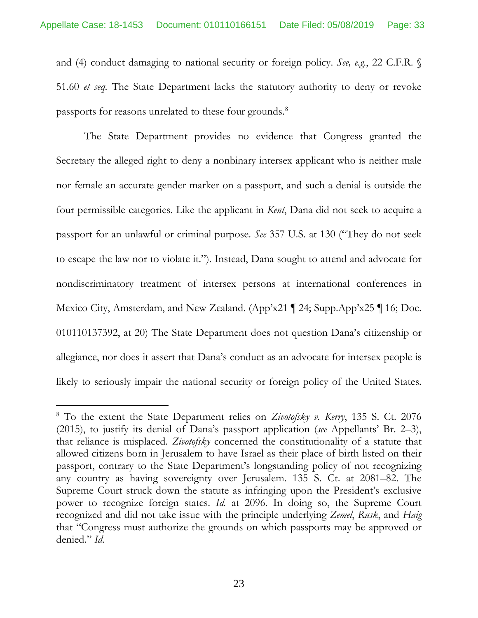and (4) conduct damaging to national security or foreign policy. *See, e.g.*, 22 C.F.R. § 51.60 *et seq.* The State Department lacks the statutory authority to deny or revoke passports for reasons unrelated to these four grounds.<sup>[8](#page-32-4)</sup>

<span id="page-32-1"></span>The State Department provides no evidence that Congress granted the Secretary the alleged right to deny a nonbinary intersex applicant who is neither male nor female an accurate gender marker on a passport, and such a denial is outside the four permissible categories. Like the applicant in *Kent*, Dana did not seek to acquire a passport for an unlawful or criminal purpose. *See* 357 U.S. at 130 ("They do not seek to escape the law nor to violate it."). Instead, Dana sought to attend and advocate for nondiscriminatory treatment of intersex persons at international conferences in Mexico City, Amsterdam, and New Zealand. (App'x21 ¶ 24; Supp.App'x25 ¶ 16; Doc. 010110137392, at 20) The State Department does not question Dana's citizenship or allegiance, nor does it assert that Dana's conduct as an advocate for intersex people is likely to seriously impair the national security or foreign policy of the United States.

<span id="page-32-4"></span><span id="page-32-3"></span><span id="page-32-2"></span><span id="page-32-0"></span><sup>8</sup> To the extent the State Department relies on *Zivotofsky v. Kerry*, 135 S. Ct. 2076 (2015), to justify its denial of Dana's passport application (*see* Appellants' Br. 2–3), that reliance is misplaced. *Zivotofsky* concerned the constitutionality of a statute that allowed citizens born in Jerusalem to have Israel as their place of birth listed on their passport, contrary to the State Department's longstanding policy of not recognizing any country as having sovereignty over Jerusalem. 135 S. Ct. at 2081–82. The Supreme Court struck down the statute as infringing upon the President's exclusive power to recognize foreign states. *Id.* at 2096. In doing so, the Supreme Court recognized and did not take issue with the principle underlying *Zemel*, *Rusk*, and *Haig* that "Congress must authorize the grounds on which passports may be approved or denied." *Id.*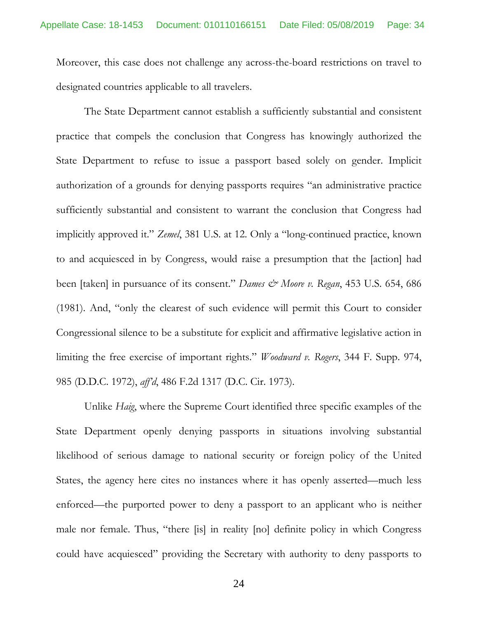Moreover, this case does not challenge any across-the-board restrictions on travel to designated countries applicable to all travelers.

<span id="page-33-2"></span>The State Department cannot establish a sufficiently substantial and consistent practice that compels the conclusion that Congress has knowingly authorized the State Department to refuse to issue a passport based solely on gender. Implicit authorization of a grounds for denying passports requires "an administrative practice sufficiently substantial and consistent to warrant the conclusion that Congress had implicitly approved it." *Zemel*, 381 U.S. at 12. Only a "long-continued practice, known to and acquiesced in by Congress, would raise a presumption that the [action] had been [taken] in pursuance of its consent." *Dames & Moore v. Regan*, 453 U.S. 654, 686 (1981). And, "only the clearest of such evidence will permit this Court to consider Congressional silence to be a substitute for explicit and affirmative legislative action in limiting the free exercise of important rights." *Woodward v. Rogers*, 344 F. Supp. 974, 985 (D.D.C. 1972), *aff'd*, 486 F.2d 1317 (D.C. Cir. 1973).

<span id="page-33-1"></span><span id="page-33-0"></span>Unlike *Haig*, where the Supreme Court identified three specific examples of the State Department openly denying passports in situations involving substantial likelihood of serious damage to national security or foreign policy of the United States, the agency here cites no instances where it has openly asserted—much less enforced—the purported power to deny a passport to an applicant who is neither male nor female. Thus, "there [is] in reality [no] definite policy in which Congress could have acquiesced" providing the Secretary with authority to deny passports to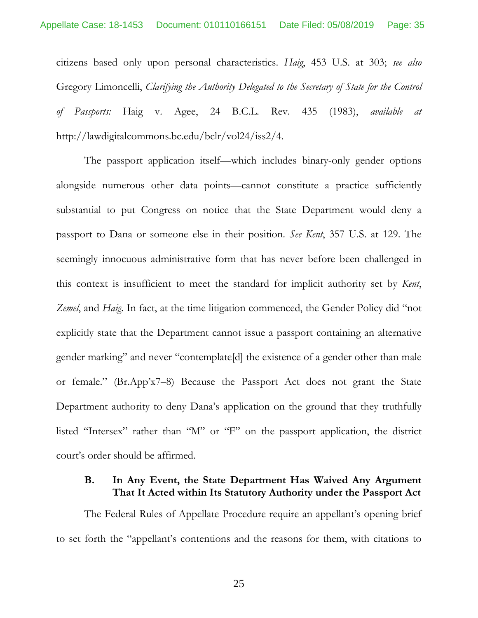<span id="page-34-4"></span><span id="page-34-0"></span>citizens based only upon personal characteristics. *Haig*, 453 U.S. at 303; *see also* Gregory Limoncelli, *Clarifying the Authority Delegated to the Secretary of State for the Control of Passports:* Haig v. Agee, 24 B.C.L. Rev. 435 (1983), *available at* http://lawdigitalcommons.bc.edu/bclr/vol24/iss2/4.

<span id="page-34-2"></span><span id="page-34-1"></span>The passport application itself—which includes binary-only gender options alongside numerous other data points—cannot constitute a practice sufficiently substantial to put Congress on notice that the State Department would deny a passport to Dana or someone else in their position. *See Kent*, 357 U.S. at 129. The seemingly innocuous administrative form that has never before been challenged in this context is insufficient to meet the standard for implicit authority set by *Kent*, *Zemel*, and *Haig*. In fact, at the time litigation commenced, the Gender Policy did "not explicitly state that the Department cannot issue a passport containing an alternative gender marking" and never "contemplate[d] the existence of a gender other than male or female." (Br.App'x7–8) Because the Passport Act does not grant the State Department authority to deny Dana's application on the ground that they truthfully listed "Intersex" rather than "M" or "F" on the passport application, the district court's order should be affirmed.

#### <span id="page-34-3"></span>**B. In Any Event, the State Department Has Waived Any Argument That It Acted within Its Statutory Authority under the Passport Act**

The Federal Rules of Appellate Procedure require an appellant's opening brief to set forth the "appellant's contentions and the reasons for them, with citations to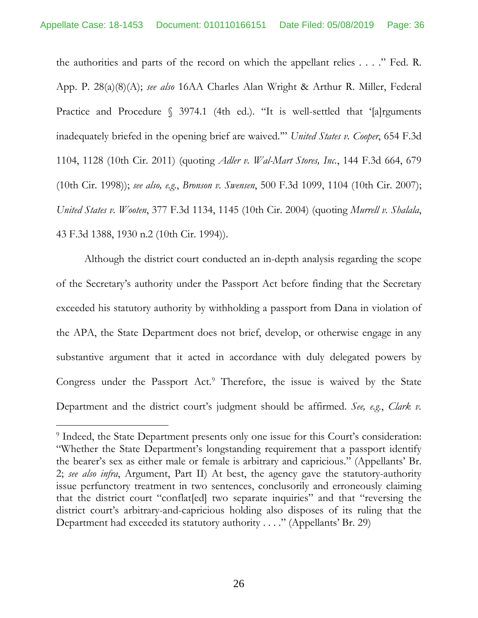<span id="page-35-9"></span><span id="page-35-8"></span><span id="page-35-4"></span><span id="page-35-0"></span>the authorities and parts of the record on which the appellant relies . . . ." Fed. R. App. P. 28(a)(8)(A); *see also* 16AA Charles Alan Wright & Arthur R. Miller, Federal Practice and Procedure § 3974.1 (4th ed.). "It is well-settled that '[a]rguments inadequately briefed in the opening brief are waived.'" *United States v. Cooper*, 654 F.3d 1104, 1128 (10th Cir. 2011) (quoting *Adler v. Wal-Mart Stores, Inc.*, 144 F.3d 664, 679 (10th Cir. 1998)); *see also, e.g.*, *Bronson v. Swensen*, 500 F.3d 1099, 1104 (10th Cir. 2007); *United States v. Wooten*, 377 F.3d 1134, 1145 (10th Cir. 2004) (quoting *Murrell v. Shalala*, 43 F.3d 1388, 1930 n.2 (10th Cir. 1994)).

<span id="page-35-7"></span><span id="page-35-6"></span><span id="page-35-5"></span><span id="page-35-3"></span><span id="page-35-1"></span>Although the district court conducted an in-depth analysis regarding the scope of the Secretary's authority under the Passport Act before finding that the Secretary exceeded his statutory authority by withholding a passport from Dana in violation of the APA, the State Department does not brief, develop, or otherwise engage in any substantive argument that it acted in accordance with duly delegated powers by Congress under the Passport Act.<sup>9</sup> Therefore, the issue is waived by the State Department and the district court's judgment should be affirmed. *See, e.g.*, *Clark v.* 

<span id="page-35-10"></span><span id="page-35-2"></span><sup>&</sup>lt;sup>9</sup> Indeed, the State Department presents only one issue for this Court's consideration: "Whether the State Department's longstanding requirement that a passport identify the bearer's sex as either male or female is arbitrary and capricious." (Appellants' Br. 2; *see also infra*, Argument, Part II) At best, the agency gave the statutory-authority issue perfunctory treatment in two sentences, conclusorily and erroneously claiming that the district court "conflat[ed] two separate inquiries" and that "reversing the district court's arbitrary-and-capricious holding also disposes of its ruling that the Department had exceeded its statutory authority . . . ." (Appellants' Br. 29)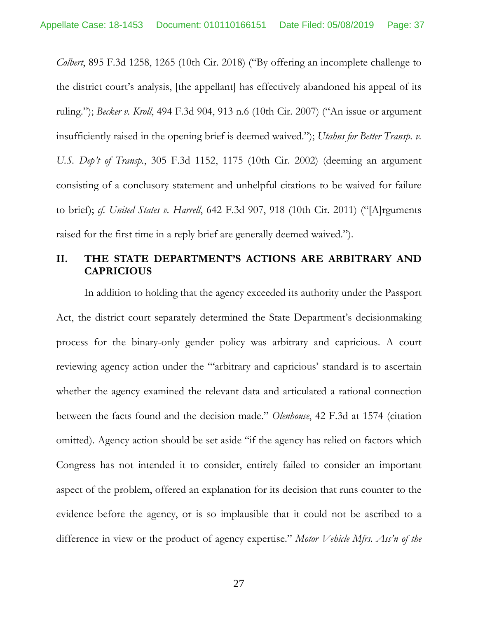<span id="page-36-4"></span><span id="page-36-0"></span>*Colbert*, 895 F.3d 1258, 1265 (10th Cir. 2018) ("By offering an incomplete challenge to the district court's analysis, [the appellant] has effectively abandoned his appeal of its ruling."); *Becker v. Kroll*, 494 F.3d 904, 913 n.6 (10th Cir. 2007) ("An issue or argument insufficiently raised in the opening brief is deemed waived."); *Utahns for Better Transp. v. U.S. Dep't of Transp.*, 305 F.3d 1152, 1175 (10th Cir. 2002) (deeming an argument consisting of a conclusory statement and unhelpful citations to be waived for failure to brief); *cf. United States v. Harrell*, 642 F.3d 907, 918 (10th Cir. 2011) ("[A]rguments raised for the first time in a reply brief are generally deemed waived.").

#### <span id="page-36-3"></span>**II. THE STATE DEPARTMENT'S ACTIONS ARE ARBITRARY AND CAPRICIOUS**

<span id="page-36-5"></span><span id="page-36-2"></span><span id="page-36-1"></span>In addition to holding that the agency exceeded its authority under the Passport Act, the district court separately determined the State Department's decisionmaking process for the binary-only gender policy was arbitrary and capricious. A court reviewing agency action under the "'arbitrary and capricious' standard is to ascertain whether the agency examined the relevant data and articulated a rational connection between the facts found and the decision made." *Olenhouse*, 42 F.3d at 1574 (citation omitted). Agency action should be set aside "if the agency has relied on factors which Congress has not intended it to consider, entirely failed to consider an important aspect of the problem, offered an explanation for its decision that runs counter to the evidence before the agency, or is so implausible that it could not be ascribed to a difference in view or the product of agency expertise." *Motor Vehicle Mfrs. Ass'n of the*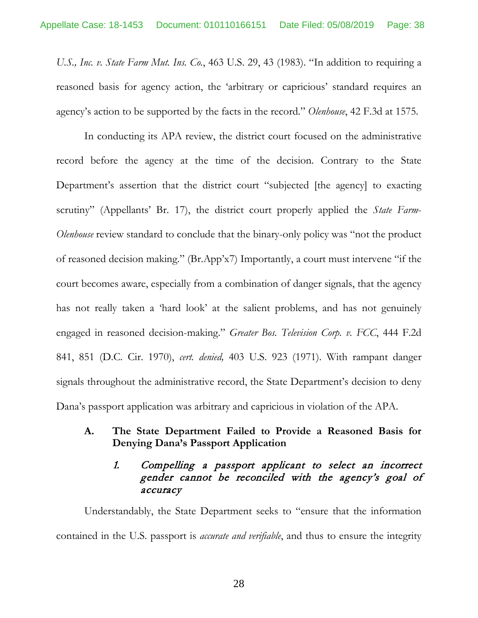*U.S., Inc. v. State Farm Mut. Ins. Co.*, 463 U.S. 29, 43 (1983). "In addition to requiring a reasoned basis for agency action, the 'arbitrary or capricious' standard requires an agency's action to be supported by the facts in the record." *Olenhouse*, 42 F.3d at 1575.

<span id="page-37-2"></span><span id="page-37-1"></span>In conducting its APA review, the district court focused on the administrative record before the agency at the time of the decision. Contrary to the State Department's assertion that the district court "subjected [the agency] to exacting scrutiny" (Appellants' Br. 17), the district court properly applied the *State Farm*-*Olenhouse* review standard to conclude that the binary-only policy was "not the product of reasoned decision making." (Br.App'x7) Importantly, a court must intervene "if the court becomes aware, especially from a combination of danger signals, that the agency has not really taken a 'hard look' at the salient problems, and has not genuinely engaged in reasoned decision-making." *Greater Bos. Television Corp. v. FCC*, 444 F.2d 841, 851 (D.C. Cir. 1970), *cert. denied,* 403 U.S. 923 (1971). With rampant danger signals throughout the administrative record, the State Department's decision to deny Dana's passport application was arbitrary and capricious in violation of the APA.

#### <span id="page-37-0"></span>**A. The State Department Failed to Provide a Reasoned Basis for Denying Dana's Passport Application**

# 1. Compelling a passport applicant to select an incorrect gender cannot be reconciled with the agency's goal of accuracy

Understandably, the State Department seeks to "ensure that the information contained in the U.S. passport is *accurate and verifiable*, and thus to ensure the integrity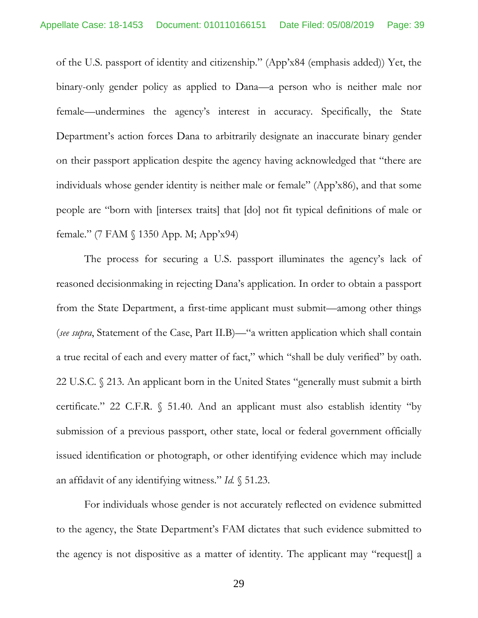of the U.S. passport of identity and citizenship." (App'x84 (emphasis added)) Yet, the binary-only gender policy as applied to Dana—a person who is neither male nor female—undermines the agency's interest in accuracy. Specifically, the State Department's action forces Dana to arbitrarily designate an inaccurate binary gender on their passport application despite the agency having acknowledged that "there are individuals whose gender identity is neither male or female" (App'x86), and that some people are "born with [intersex traits] that [do] not fit typical definitions of male or female." (7 FAM § 1350 App. M; App'x94)

<span id="page-38-0"></span>The process for securing a U.S. passport illuminates the agency's lack of reasoned decisionmaking in rejecting Dana's application. In order to obtain a passport from the State Department, a first-time applicant must submit—among other things (*see supra*, Statement of the Case, Part II.B)—"a written application which shall contain a true recital of each and every matter of fact," which "shall be duly verified" by oath. 22 U.S.C. § 213. An applicant born in the United States "generally must submit a birth certificate." 22 C.F.R. § 51.40. And an applicant must also establish identity "by submission of a previous passport, other state, local or federal government officially issued identification or photograph, or other identifying evidence which may include an affidavit of any identifying witness." *Id.* § 51.23.

For individuals whose gender is not accurately reflected on evidence submitted to the agency, the State Department's FAM dictates that such evidence submitted to the agency is not dispositive as a matter of identity. The applicant may "request[] a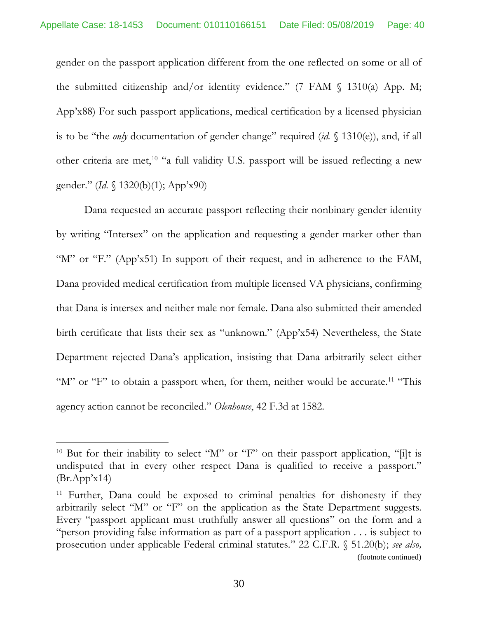gender on the passport application different from the one reflected on some or all of the submitted citizenship and/or identity evidence." (7 FAM  $\langle$  1310(a) App. M; App'x88) For such passport applications, medical certification by a licensed physician is to be "the *only* documentation of gender change" required (*id.* § 1310(e)), and, if all other criteria are met,<sup>[10](#page-39-2)</sup> "a full validity U.S. passport will be issued reflecting a new gender." (*Id.* § 1320(b)(1); App'x90)

Dana requested an accurate passport reflecting their nonbinary gender identity by writing "Intersex" on the application and requesting a gender marker other than "M" or "F." (App'x51) In support of their request, and in adherence to the FAM, Dana provided medical certification from multiple licensed VA physicians, confirming that Dana is intersex and neither male nor female. Dana also submitted their amended birth certificate that lists their sex as "unknown." (App'x54) Nevertheless, the State Department rejected Dana's application, insisting that Dana arbitrarily select either "M" or "F" to obtain a passport when, for them, neither would be accurate.<sup>[11](#page-39-3)</sup> "This agency action cannot be reconciled." *Olenhouse*, 42 F.3d at 1582.

<span id="page-39-2"></span><span id="page-39-0"></span><sup>&</sup>lt;sup>10</sup> But for their inability to select "M" or "F" on their passport application, "[i]t is undisputed that in every other respect Dana is qualified to receive a passport."  $(Br.App'x14)$ 

<span id="page-39-3"></span><span id="page-39-1"></span><sup>&</sup>lt;sup>11</sup> Further, Dana could be exposed to criminal penalties for dishonesty if they arbitrarily select "M" or "F" on the application as the State Department suggests. Every "passport applicant must truthfully answer all questions" on the form and a "person providing false information as part of a passport application . . . is subject to prosecution under applicable Federal criminal statutes." 22 C.F.R. § 51.20(b); *see also,*  (footnote continued)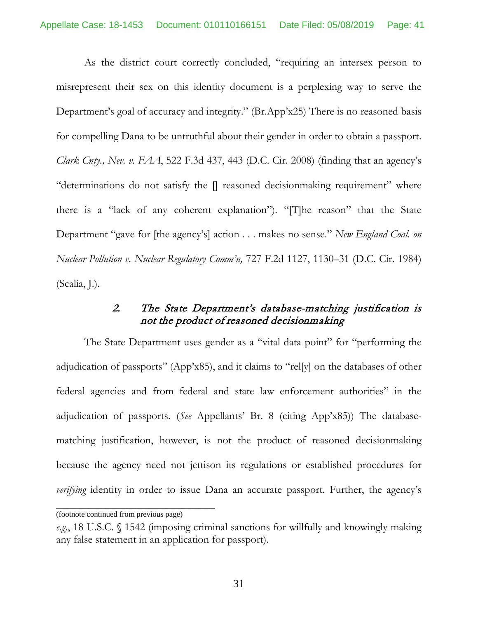<span id="page-40-0"></span>As the district court correctly concluded, "requiring an intersex person to misrepresent their sex on this identity document is a perplexing way to serve the Department's goal of accuracy and integrity." (Br.App'x25) There is no reasoned basis for compelling Dana to be untruthful about their gender in order to obtain a passport. *Clark Cnty., Nev. v. FAA*, 522 F.3d 437, 443 (D.C. Cir. 2008) (finding that an agency's "determinations do not satisfy the [] reasoned decisionmaking requirement" where there is a "lack of any coherent explanation"). "[T]he reason" that the State Department "gave for [the agency's] action . . . makes no sense." *New England Coal. on Nuclear Pollution v. Nuclear Regulatory Comm'n,* 727 F.2d 1127, 1130–31 (D.C. Cir. 1984) (Scalia, J.).

# <span id="page-40-1"></span>2. The State Department's database-matching justification is not the product of reasoned decisionmaking

The State Department uses gender as a "vital data point" for "performing the adjudication of passports" (App'x85), and it claims to "rel[y] on the databases of other federal agencies and from federal and state law enforcement authorities" in the adjudication of passports. (*See* Appellants' Br. 8 (citing App'x85)) The databasematching justification, however, is not the product of reasoned decisionmaking because the agency need not jettison its regulations or established procedures for *verifying* identity in order to issue Dana an accurate passport. Further, the agency's

\_\_\_\_\_\_\_\_\_\_\_\_\_\_\_\_\_\_\_\_\_\_\_\_\_\_\_\_\_

<sup>(</sup>footnote continued from previous page)

<span id="page-40-2"></span>*e.g*., 18 U.S.C. § 1542 (imposing criminal sanctions for willfully and knowingly making any false statement in an application for passport).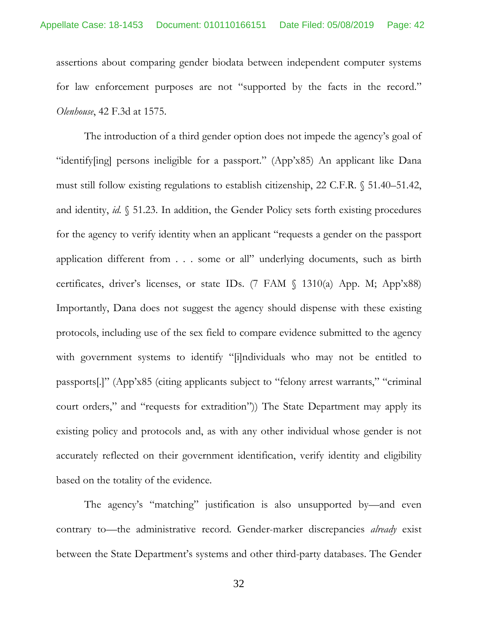assertions about comparing gender biodata between independent computer systems for law enforcement purposes are not "supported by the facts in the record." *Olenhouse*, 42 F.3d at 1575.

<span id="page-41-0"></span>The introduction of a third gender option does not impede the agency's goal of "identify[ing] persons ineligible for a passport." (App'x85) An applicant like Dana must still follow existing regulations to establish citizenship, 22 C.F.R. § 51.40–51.42, and identity, *id.* § 51.23. In addition, the Gender Policy sets forth existing procedures for the agency to verify identity when an applicant "requests a gender on the passport application different from . . . some or all" underlying documents, such as birth certificates, driver's licenses, or state IDs. (7 FAM § 1310(a) App. M; App'x88) Importantly, Dana does not suggest the agency should dispense with these existing protocols, including use of the sex field to compare evidence submitted to the agency with government systems to identify "[i]ndividuals who may not be entitled to passports[.]" (App'x85 (citing applicants subject to "felony arrest warrants," "criminal court orders," and "requests for extradition")) The State Department may apply its existing policy and protocols and, as with any other individual whose gender is not accurately reflected on their government identification, verify identity and eligibility based on the totality of the evidence.

The agency's "matching" justification is also unsupported by—and even contrary to—the administrative record. Gender-marker discrepancies *already* exist between the State Department's systems and other third-party databases. The Gender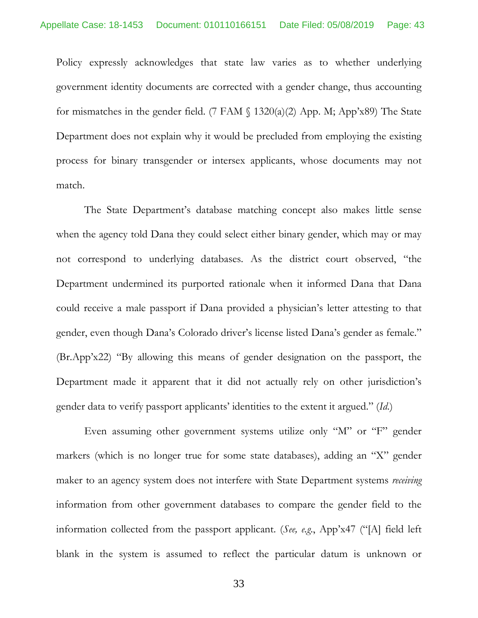Policy expressly acknowledges that state law varies as to whether underlying government identity documents are corrected with a gender change, thus accounting for mismatches in the gender field. (7 FAM  $\{(7)$  1320(a)(2) App. M; App'x89) The State Department does not explain why it would be precluded from employing the existing process for binary transgender or intersex applicants, whose documents may not match.

The State Department's database matching concept also makes little sense when the agency told Dana they could select either binary gender, which may or may not correspond to underlying databases. As the district court observed, "the Department undermined its purported rationale when it informed Dana that Dana could receive a male passport if Dana provided a physician's letter attesting to that gender, even though Dana's Colorado driver's license listed Dana's gender as female." (Br.App'x22) "By allowing this means of gender designation on the passport, the Department made it apparent that it did not actually rely on other jurisdiction's gender data to verify passport applicants' identities to the extent it argued." (*Id*.)

Even assuming other government systems utilize only "M" or "F" gender markers (which is no longer true for some state databases), adding an "X" gender maker to an agency system does not interfere with State Department systems *receiving* information from other government databases to compare the gender field to the information collected from the passport applicant. (*See, e.g*., App'x47 ("[A] field left blank in the system is assumed to reflect the particular datum is unknown or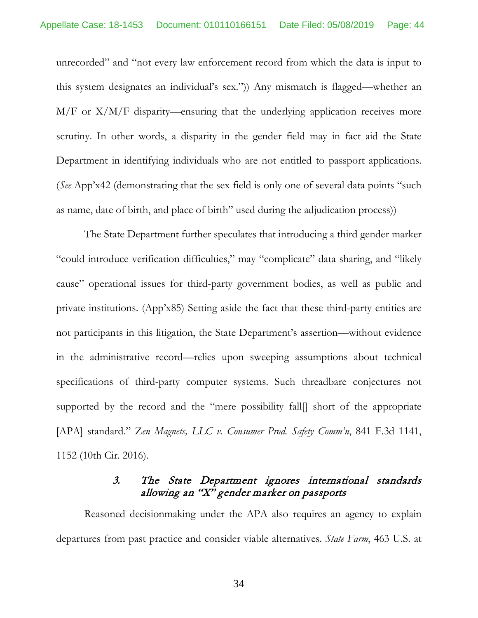unrecorded" and "not every law enforcement record from which the data is input to this system designates an individual's sex.")) Any mismatch is flagged—whether an  $M/F$  or  $X/M/F$  disparity—ensuring that the underlying application receives more scrutiny. In other words, a disparity in the gender field may in fact aid the State Department in identifying individuals who are not entitled to passport applications. (*See* App'x42 (demonstrating that the sex field is only one of several data points "such as name, date of birth, and place of birth" used during the adjudication process))

The State Department further speculates that introducing a third gender marker "could introduce verification difficulties," may "complicate" data sharing, and "likely cause" operational issues for third-party government bodies, as well as public and private institutions. (App'x85) Setting aside the fact that these third-party entities are not participants in this litigation, the State Department's assertion—without evidence in the administrative record—relies upon sweeping assumptions about technical specifications of third-party computer systems. Such threadbare conjectures not supported by the record and the "mere possibility fall[] short of the appropriate [APA] standard." Z*en Magnets, LLC v. Consumer Prod. Safety Comm'n*, 841 F.3d 1141, 1152 (10th Cir. 2016).

# <span id="page-43-2"></span><span id="page-43-1"></span><span id="page-43-0"></span>3. The State Department ignores international standards allowing an "X" gender marker on passports

Reasoned decisionmaking under the APA also requires an agency to explain departures from past practice and consider viable alternatives. *State Farm*, 463 U.S. at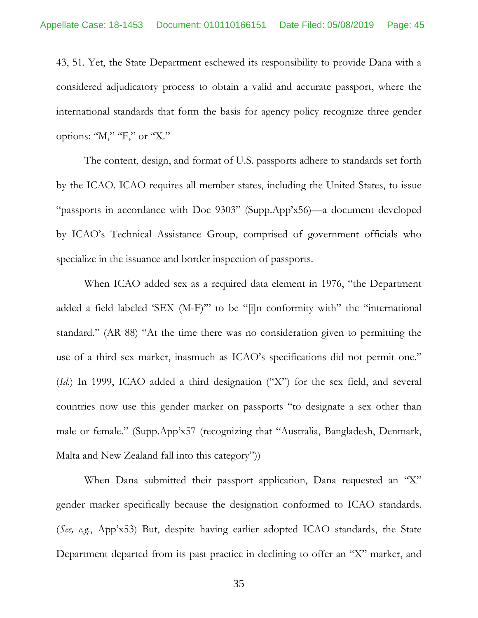43, 51. Yet, the State Department eschewed its responsibility to provide Dana with a considered adjudicatory process to obtain a valid and accurate passport, where the international standards that form the basis for agency policy recognize three gender options: "M," "F," or "X."

The content, design, and format of U.S. passports adhere to standards set forth by the ICAO. ICAO requires all member states, including the United States, to issue "passports in accordance with Doc 9303" (Supp.App'x56)—a document developed by ICAO's Technical Assistance Group, comprised of government officials who specialize in the issuance and border inspection of passports.

When ICAO added sex as a required data element in 1976, "the Department added a field labeled 'SEX (M-F)'" to be "[i]n conformity with" the "international standard." (AR 88) "At the time there was no consideration given to permitting the use of a third sex marker, inasmuch as ICAO's specifications did not permit one." (*Id.*) In 1999, ICAO added a third designation ("X") for the sex field, and several countries now use this gender marker on passports "to designate a sex other than male or female." (Supp.App'x57 (recognizing that "Australia, Bangladesh, Denmark, Malta and New Zealand fall into this category"))

When Dana submitted their passport application, Dana requested an "X" gender marker specifically because the designation conformed to ICAO standards. (*See, e.g.*, App'x53) But, despite having earlier adopted ICAO standards, the State Department departed from its past practice in declining to offer an "X" marker, and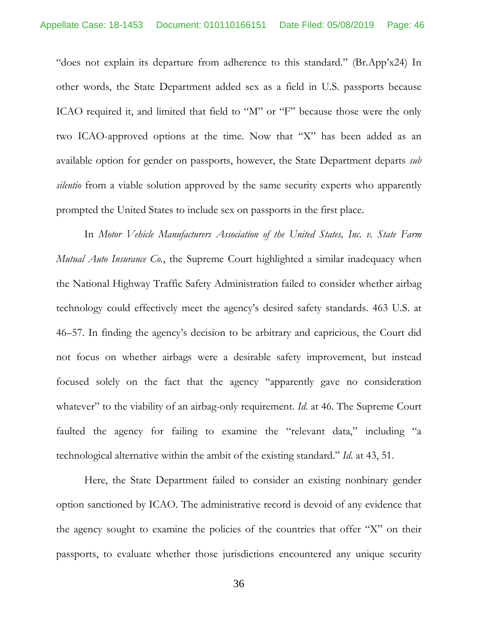"does not explain its departure from adherence to this standard." (Br.App'x24) In other words, the State Department added sex as a field in U.S. passports because ICAO required it, and limited that field to "M" or "F" because those were the only two ICAO-approved options at the time. Now that "X" has been added as an available option for gender on passports, however, the State Department departs *sub silentio* from a viable solution approved by the same security experts who apparently prompted the United States to include sex on passports in the first place.

<span id="page-45-0"></span>In *Motor Vehicle Manufacturers Association of the United States, Inc. v. State Farm Mutual Auto Insurance Co.*, the Supreme Court highlighted a similar inadequacy when the National Highway Traffic Safety Administration failed to consider whether airbag technology could effectively meet the agency's desired safety standards. 463 U.S. at 46–57. In finding the agency's decision to be arbitrary and capricious, the Court did not focus on whether airbags were a desirable safety improvement, but instead focused solely on the fact that the agency "apparently gave no consideration whatever" to the viability of an airbag-only requirement. *Id.* at 46. The Supreme Court faulted the agency for failing to examine the "relevant data," including "a technological alternative within the ambit of the existing standard." *Id*. at 43, 51.

Here, the State Department failed to consider an existing nonbinary gender option sanctioned by ICAO. The administrative record is devoid of any evidence that the agency sought to examine the policies of the countries that offer "X" on their passports, to evaluate whether those jurisdictions encountered any unique security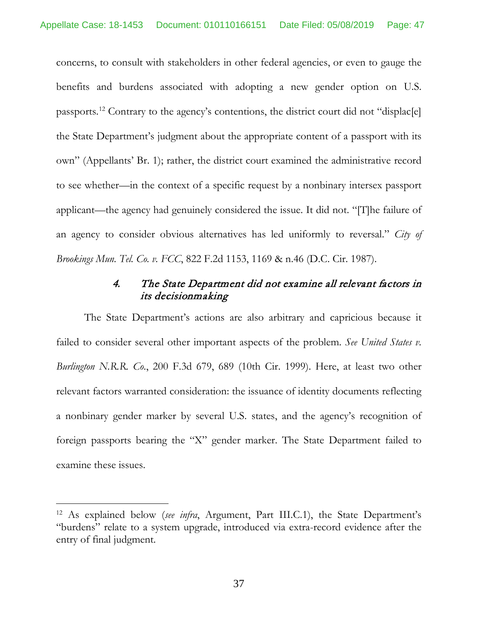concerns, to consult with stakeholders in other federal agencies, or even to gauge the benefits and burdens associated with adopting a new gender option on U.S. passports.[12](#page-46-2) Contrary to the agency's contentions, the district court did not "displac[e] the State Department's judgment about the appropriate content of a passport with its own" (Appellants' Br. 1); rather, the district court examined the administrative record to see whether—in the context of a specific request by a nonbinary intersex passport applicant—the agency had genuinely considered the issue. It did not. "[T]he failure of an agency to consider obvious alternatives has led uniformly to reversal." *City of Brookings Mun. Tel. Co. v. FCC*, 822 F.2d 1153, 1169 & n.46 (D.C. Cir. 1987).

# <span id="page-46-1"></span><span id="page-46-0"></span>4. The State Department did not examine all relevant factors in its decisionmaking

The State Department's actions are also arbitrary and capricious because it failed to consider several other important aspects of the problem. *See United States v. Burlington N.R.R. Co*., 200 F.3d 679, 689 (10th Cir. 1999). Here, at least two other relevant factors warranted consideration: the issuance of identity documents reflecting a nonbinary gender marker by several U.S. states, and the agency's recognition of foreign passports bearing the "X" gender marker. The State Department failed to examine these issues.

<span id="page-46-2"></span><sup>12</sup> As explained below (*see infra*, Argument, Part III.C.1), the State Department's "burdens" relate to a system upgrade, introduced via extra-record evidence after the entry of final judgment.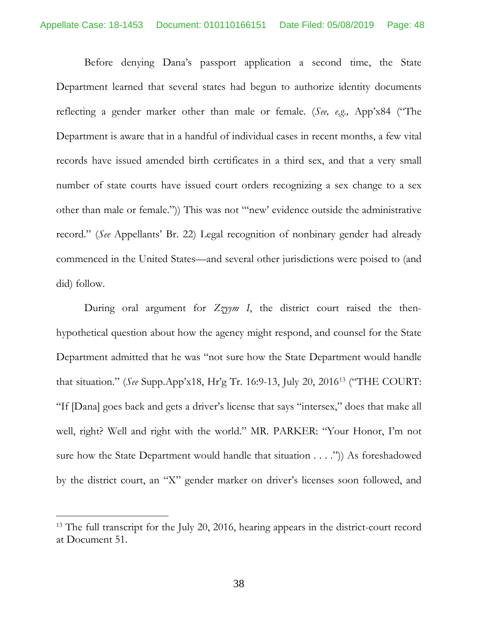Before denying Dana's passport application a second time, the State Department learned that several states had begun to authorize identity documents reflecting a gender marker other than male or female. (*See, e.g.,* App'x84 ("The Department is aware that in a handful of individual cases in recent months, a few vital records have issued amended birth certificates in a third sex, and that a very small number of state courts have issued court orders recognizing a sex change to a sex other than male or female.")) This was not "'new' evidence outside the administrative record." (*See* Appellants' Br. 22) Legal recognition of nonbinary gender had already commenced in the United States—and several other jurisdictions were poised to (and did) follow.

During oral argument for *Zzyym I*, the district court raised the thenhypothetical question about how the agency might respond, and counsel for the State Department admitted that he was "not sure how the State Department would handle that situation." (*See* Supp.App'x18, Hr'g Tr. 16:9-13, July 20, 2016[13](#page-47-0) ("THE COURT: "If [Dana] goes back and gets a driver's license that says "intersex," does that make all well, right? Well and right with the world." MR. PARKER: "Your Honor, I'm not sure how the State Department would handle that situation . . . .")) As foreshadowed by the district court, an "X" gender marker on driver's licenses soon followed, and

<span id="page-47-0"></span><sup>&</sup>lt;sup>13</sup> The full transcript for the July 20, 2016, hearing appears in the district-court record at Document 51.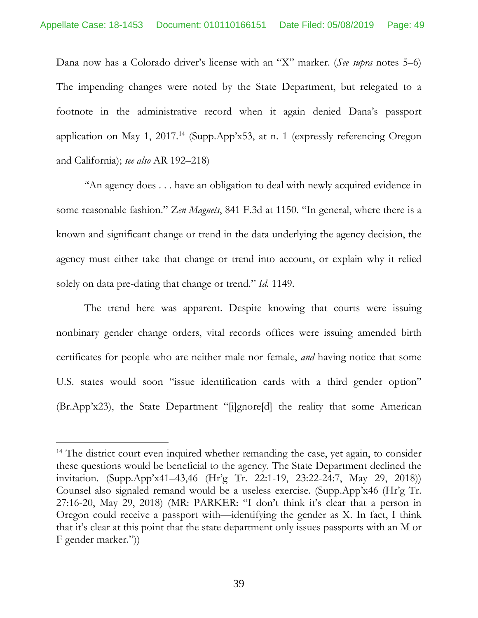Dana now has a Colorado driver's license with an "X" marker. (*See supra* notes 5–6) The impending changes were noted by the State Department, but relegated to a footnote in the administrative record when it again denied Dana's passport application on May 1, 2017.<sup>[14](#page-48-1)</sup> (Supp.App'x53, at n. 1 (expressly referencing Oregon and California); *see also* AR 192–218)

<span id="page-48-0"></span>"An agency does . . . have an obligation to deal with newly acquired evidence in some reasonable fashion." Z*en Magnets*, 841 F.3d at 1150. "In general, where there is a known and significant change or trend in the data underlying the agency decision, the agency must either take that change or trend into account, or explain why it relied solely on data pre-dating that change or trend." *Id.* 1149.

The trend here was apparent. Despite knowing that courts were issuing nonbinary gender change orders, vital records offices were issuing amended birth certificates for people who are neither male nor female, *and* having notice that some U.S. states would soon "issue identification cards with a third gender option" (Br.App'x23), the State Department "[i]gnore[d] the reality that some American

<span id="page-48-1"></span><sup>&</sup>lt;sup>14</sup> The district court even inquired whether remanding the case, yet again, to consider these questions would be beneficial to the agency. The State Department declined the invitation. (Supp.App'x41–43,46 (Hr'g Tr. 22:1-19, 23:22-24:7, May 29, 2018)) Counsel also signaled remand would be a useless exercise. (Supp.App'x46 (Hr'g Tr. 27:16-20, May 29, 2018) (MR: PARKER: "I don't think it's clear that a person in Oregon could receive a passport with—identifying the gender as X. In fact, I think that it's clear at this point that the state department only issues passports with an M or F gender marker."))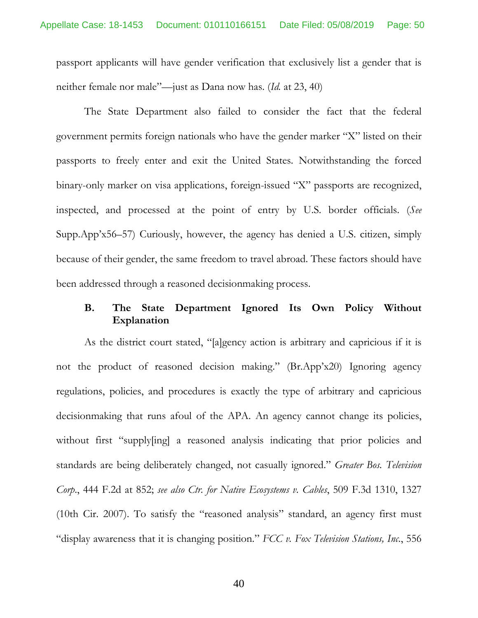passport applicants will have gender verification that exclusively list a gender that is neither female nor male"—just as Dana now has. (*Id.* at 23, 40)

The State Department also failed to consider the fact that the federal government permits foreign nationals who have the gender marker "X" listed on their passports to freely enter and exit the United States. Notwithstanding the forced binary-only marker on visa applications, foreign-issued "X" passports are recognized, inspected, and processed at the point of entry by U.S. border officials. (*See* Supp.App'x56–57) Curiously, however, the agency has denied a U.S. citizen, simply because of their gender, the same freedom to travel abroad. These factors should have been addressed through a reasoned decisionmaking process.

#### <span id="page-49-3"></span><span id="page-49-2"></span>**B. The State Department Ignored Its Own Policy Without Explanation**

<span id="page-49-1"></span><span id="page-49-0"></span>As the district court stated, "[a]gency action is arbitrary and capricious if it is not the product of reasoned decision making." (Br.App'x20) Ignoring agency regulations, policies, and procedures is exactly the type of arbitrary and capricious decisionmaking that runs afoul of the APA. An agency cannot change its policies, without first "supply[ing] a reasoned analysis indicating that prior policies and standards are being deliberately changed, not casually ignored." *Greater Bos. Television Corp*., 444 F.2d at 852; *see also Ctr. for Native Ecosystems v. Cables*, 509 F.3d 1310, 1327 (10th Cir. 2007). To satisfy the "reasoned analysis" standard, an agency first must "display awareness that it is changing position." *FCC v. Fox Television Stations, Inc*., 556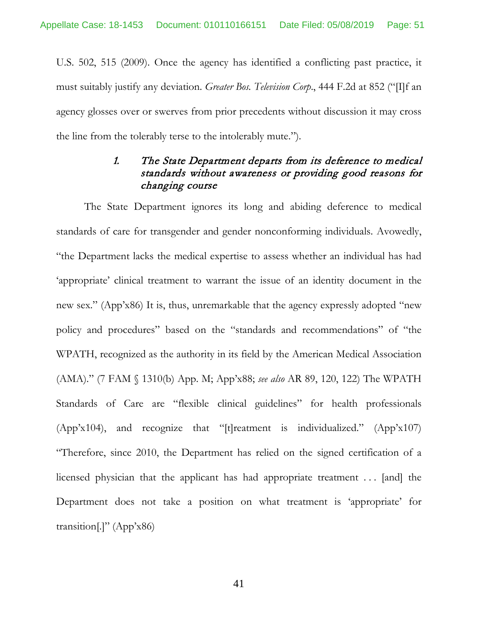U.S. 502, 515 (2009). Once the agency has identified a conflicting past practice, it must suitably justify any deviation. *Greater Bos. Television Corp*., 444 F.2d at 852 ("[I]f an agency glosses over or swerves from prior precedents without discussion it may cross the line from the tolerably terse to the intolerably mute.").

# <span id="page-50-0"></span>1. The State Department departs from its deference to medical standards without awareness or providing good reasons for changing course

The State Department ignores its long and abiding deference to medical standards of care for transgender and gender nonconforming individuals. Avowedly, "the Department lacks the medical expertise to assess whether an individual has had 'appropriate' clinical treatment to warrant the issue of an identity document in the new sex." (App'x86) It is, thus, unremarkable that the agency expressly adopted "new policy and procedures" based on the "standards and recommendations" of "the WPATH, recognized as the authority in its field by the American Medical Association (AMA)." (7 FAM § 1310(b) App. M; App'x88; *see also* AR 89, 120, 122) The WPATH Standards of Care are "flexible clinical guidelines" for health professionals (App'x104), and recognize that "[t]reatment is individualized." (App'x107) "Therefore, since 2010, the Department has relied on the signed certification of a licensed physician that the applicant has had appropriate treatment . . . [and] the Department does not take a position on what treatment is 'appropriate' for transition[.]" (App'x86)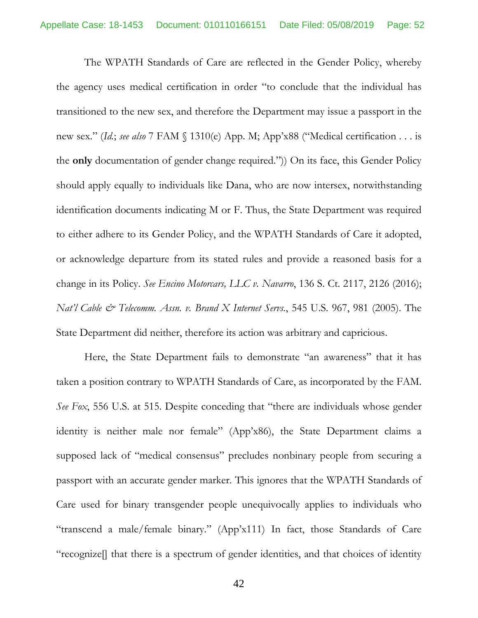The WPATH Standards of Care are reflected in the Gender Policy, whereby the agency uses medical certification in order "to conclude that the individual has transitioned to the new sex, and therefore the Department may issue a passport in the new sex." (*Id.*; *see also* 7 FAM § 1310(e) App. M; App'x88 ("Medical certification . . . is the **only** documentation of gender change required.")) On its face, this Gender Policy should apply equally to individuals like Dana, who are now intersex, notwithstanding identification documents indicating M or F. Thus, the State Department was required to either adhere to its Gender Policy, and the WPATH Standards of Care it adopted, or acknowledge departure from its stated rules and provide a reasoned basis for a change in its Policy. *See Encino Motorcars, LLC v. Navarro*, 136 S. Ct. 2117, 2126 (2016); *Nat'l Cable & Telecomm. Assn. v. Brand X Internet Servs.*, 545 U.S. 967, 981 (2005). The State Department did neither, therefore its action was arbitrary and capricious.

<span id="page-51-2"></span><span id="page-51-1"></span><span id="page-51-0"></span>Here, the State Department fails to demonstrate "an awareness" that it has taken a position contrary to WPATH Standards of Care, as incorporated by the FAM. *See Fox*, 556 U.S. at 515. Despite conceding that "there are individuals whose gender identity is neither male nor female" (App'x86), the State Department claims a supposed lack of "medical consensus" precludes nonbinary people from securing a passport with an accurate gender marker. This ignores that the WPATH Standards of Care used for binary transgender people unequivocally applies to individuals who "transcend a male/female binary." (App'x111) In fact, those Standards of Care "recognize[] that there is a spectrum of gender identities, and that choices of identity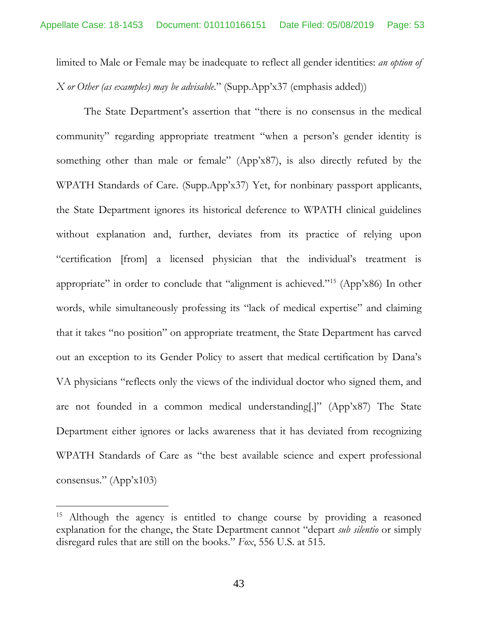limited to Male or Female may be inadequate to reflect all gender identities: *an option of X or Other (as examples) may be advisable*." (Supp.App'x37 (emphasis added))

The State Department's assertion that "there is no consensus in the medical community" regarding appropriate treatment "when a person's gender identity is something other than male or female" (App'x87), is also directly refuted by the WPATH Standards of Care. (Supp.App'x37) Yet, for nonbinary passport applicants, the State Department ignores its historical deference to WPATH clinical guidelines without explanation and, further, deviates from its practice of relying upon "certification [from] a licensed physician that the individual's treatment is appropriate" in order to conclude that "alignment is achieved."[15](#page-52-1) (App'x86) In other words, while simultaneously professing its "lack of medical expertise" and claiming that it takes "no position" on appropriate treatment, the State Department has carved out an exception to its Gender Policy to assert that medical certification by Dana's VA physicians "reflects only the views of the individual doctor who signed them, and are not founded in a common medical understanding[.]" (App'x87) The State Department either ignores or lacks awareness that it has deviated from recognizing WPATH Standards of Care as "the best available science and expert professional consensus." (App'x103)

<span id="page-52-1"></span><span id="page-52-0"></span><sup>&</sup>lt;sup>15</sup> Although the agency is entitled to change course by providing a reasoned explanation for the change, the State Department cannot "depart *sub silentio* or simply disregard rules that are still on the books." *Fox*, 556 U.S. at 515.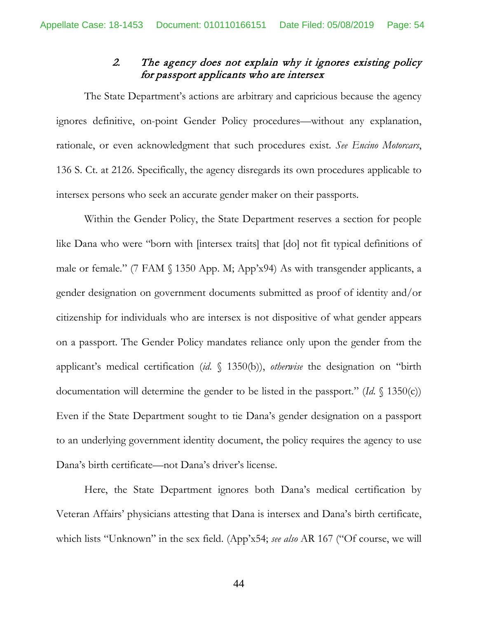# <span id="page-53-0"></span>2. The agency does not explain why it ignores existing policy for passport applicants who are intersex

The State Department's actions are arbitrary and capricious because the agency ignores definitive, on-point Gender Policy procedures—without any explanation, rationale, or even acknowledgment that such procedures exist. *See Encino Motorcars*, 136 S. Ct. at 2126. Specifically, the agency disregards its own procedures applicable to intersex persons who seek an accurate gender maker on their passports.

Within the Gender Policy, the State Department reserves a section for people like Dana who were "born with [intersex traits] that [do] not fit typical definitions of male or female." (7 FAM § 1350 App. M; App'x94) As with transgender applicants, a gender designation on government documents submitted as proof of identity and/or citizenship for individuals who are intersex is not dispositive of what gender appears on a passport. The Gender Policy mandates reliance only upon the gender from the applicant's medical certification (*id*. § 1350(b)), *otherwise* the designation on "birth documentation will determine the gender to be listed in the passport." (*Id*. § 1350(c)) Even if the State Department sought to tie Dana's gender designation on a passport to an underlying government identity document, the policy requires the agency to use Dana's birth certificate—not Dana's driver's license.

Here, the State Department ignores both Dana's medical certification by Veteran Affairs' physicians attesting that Dana is intersex and Dana's birth certificate, which lists "Unknown" in the sex field. (App'x54; *see also* AR 167 ("Of course, we will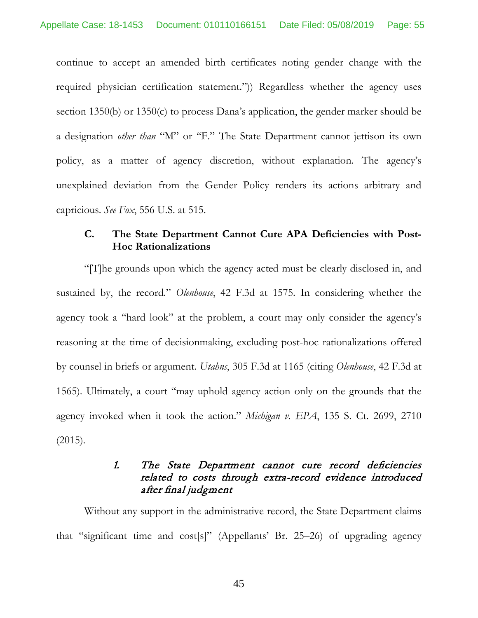continue to accept an amended birth certificates noting gender change with the required physician certification statement.")) Regardless whether the agency uses section 1350(b) or 1350(c) to process Dana's application, the gender marker should be a designation *other than* "M" or "F." The State Department cannot jettison its own policy, as a matter of agency discretion, without explanation. The agency's unexplained deviation from the Gender Policy renders its actions arbitrary and capricious. *See Fox*, 556 U.S. at 515.

#### <span id="page-54-4"></span><span id="page-54-2"></span><span id="page-54-0"></span>**C. The State Department Cannot Cure APA Deficiencies with Post-Hoc Rationalizations**

"[T]he grounds upon which the agency acted must be clearly disclosed in, and sustained by, the record." *Olenhouse*, 42 F.3d at 1575. In considering whether the agency took a "hard look" at the problem, a court may only consider the agency's reasoning at the time of decisionmaking, excluding post-hoc rationalizations offered by counsel in briefs or argument. *Utahns*, 305 F.3d at 1165 (citing *Olenhouse*, 42 F.3d at 1565). Ultimately, a court "may uphold agency action only on the grounds that the agency invoked when it took the action." *Michigan v. EPA*, 135 S. Ct. 2699, 2710 (2015).

# <span id="page-54-3"></span><span id="page-54-1"></span>1. The State Department cannot cure record deficiencies related to costs through extra-record evidence introduced after final judgment

Without any support in the administrative record, the State Department claims that "significant time and cost[s]" (Appellants' Br. 25–26) of upgrading agency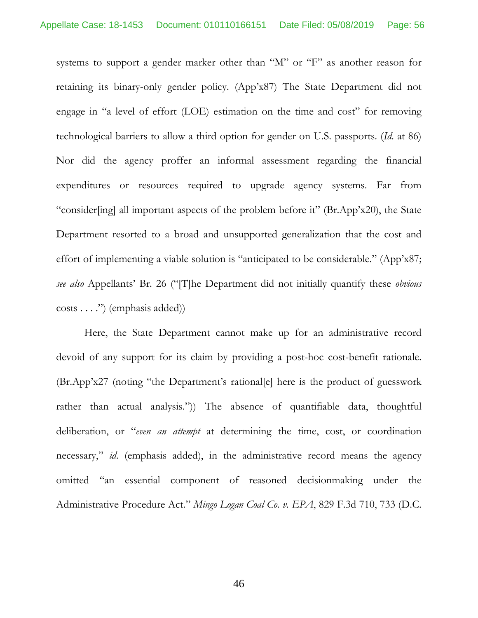systems to support a gender marker other than "M" or "F" as another reason for retaining its binary-only gender policy. (App'x87) The State Department did not engage in "a level of effort (LOE) estimation on the time and cost" for removing technological barriers to allow a third option for gender on U.S. passports. (*Id*. at 86) Nor did the agency proffer an informal assessment regarding the financial expenditures or resources required to upgrade agency systems. Far from "consider[ing] all important aspects of the problem before it" (Br.App'x20), the State Department resorted to a broad and unsupported generalization that the cost and effort of implementing a viable solution is "anticipated to be considerable." (App'x87; *see also* Appellants' Br. 26 ("[T]he Department did not initially quantify these *obvious*  costs . . . .") (emphasis added))

<span id="page-55-1"></span><span id="page-55-0"></span>Here, the State Department cannot make up for an administrative record devoid of any support for its claim by providing a post-hoc cost-benefit rationale. (Br.App'x27 (noting "the Department's rational[e] here is the product of guesswork rather than actual analysis.")) The absence of quantifiable data, thoughtful deliberation, or "*even an attempt* at determining the time, cost, or coordination necessary," *id*. (emphasis added), in the administrative record means the agency omitted "an essential component of reasoned decisionmaking under the Administrative Procedure Act." *Mingo Logan Coal Co. v. EPA*, 829 F.3d 710, 733 (D.C.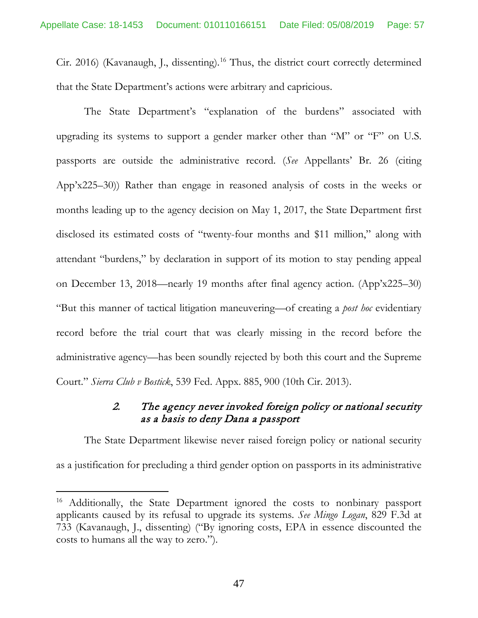Cir. 2016) (Kavanaugh, J., dissenting).[16](#page-56-1) Thus, the district court correctly determined that the State Department's actions were arbitrary and capricious.

The State Department's "explanation of the burdens" associated with upgrading its systems to support a gender marker other than "M" or "F" on U.S. passports are outside the administrative record. (*See* Appellants' Br. 26 (citing App'x225–30)) Rather than engage in reasoned analysis of costs in the weeks or months leading up to the agency decision on May 1, 2017, the State Department first disclosed its estimated costs of "twenty-four months and \$11 million," along with attendant "burdens," by declaration in support of its motion to stay pending appeal on December 13, 2018—nearly 19 months after final agency action. (App'x225–30) "But this manner of tactical litigation maneuvering—of creating a *post hoc* evidentiary record before the trial court that was clearly missing in the record before the administrative agency—has been soundly rejected by both this court and the Supreme Court." *Sierra Club v Bostick*, 539 Fed. Appx. 885, 900 (10th Cir. 2013).

#### <span id="page-56-0"></span>2. The agency never invoked foreign policy or national security as a basis to deny Dana a passport

The State Department likewise never raised foreign policy or national security as a justification for precluding a third gender option on passports in its administrative

<span id="page-56-1"></span><sup>&</sup>lt;sup>16</sup> Additionally, the State Department ignored the costs to nonbinary passport applicants caused by its refusal to upgrade its systems. *See Mingo Logan*, 829 F.3d at 733 (Kavanaugh, J., dissenting) ("By ignoring costs, EPA in essence discounted the costs to humans all the way to zero.").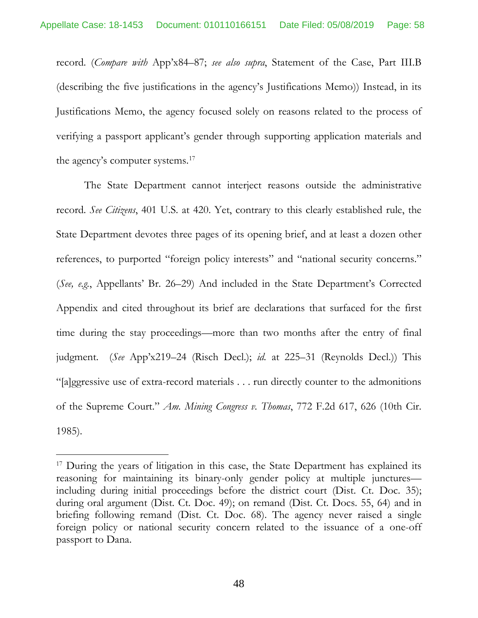record. (*Compare with* App'x84–87; *see also supra*, Statement of the Case, Part III.B (describing the five justifications in the agency's Justifications Memo)) Instead, in its Justifications Memo, the agency focused solely on reasons related to the process of verifying a passport applicant's gender through supporting application materials and the agency's computer systems.<sup>[17](#page-57-2)</sup>

<span id="page-57-1"></span>The State Department cannot interject reasons outside the administrative record. *See Citizens*, 401 U.S. at 420. Yet, contrary to this clearly established rule, the State Department devotes three pages of its opening brief, and at least a dozen other references, to purported "foreign policy interests" and "national security concerns." (*See, e.g.*, Appellants' Br. 26–29) And included in the State Department's Corrected Appendix and cited throughout its brief are declarations that surfaced for the first time during the stay proceedings—more than two months after the entry of final judgment. (*See* App'x219–24 (Risch Decl.); *id.* at 225–31 (Reynolds Decl.)) This "[a]ggressive use of extra-record materials . . . run directly counter to the admonitions of the Supreme Court." *Am. Mining Congress v. Thomas*, 772 F.2d 617, 626 (10th Cir. 1985).

<span id="page-57-2"></span><span id="page-57-0"></span><sup>&</sup>lt;sup>17</sup> During the years of litigation in this case, the State Department has explained its reasoning for maintaining its binary-only gender policy at multiple junctures including during initial proceedings before the district court (Dist. Ct. Doc. 35); during oral argument (Dist. Ct. Doc. 49); on remand (Dist. Ct. Docs. 55, 64) and in briefing following remand (Dist. Ct. Doc. 68). The agency never raised a single foreign policy or national security concern related to the issuance of a one-off passport to Dana.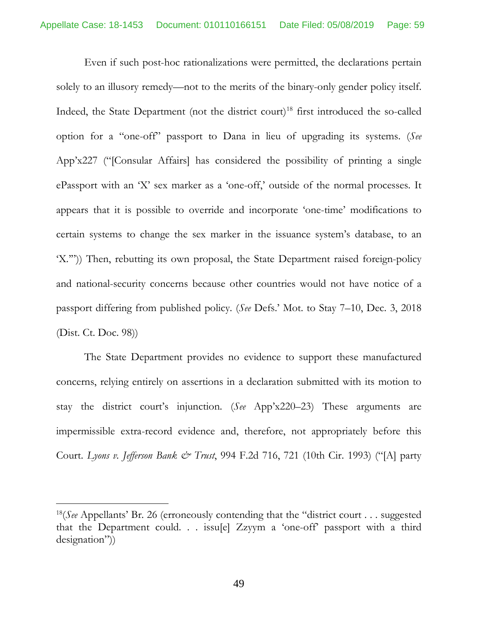Even if such post-hoc rationalizations were permitted, the declarations pertain solely to an illusory remedy—not to the merits of the binary-only gender policy itself. Indeed, the State Department (not the district court)<sup>[18](#page-58-1)</sup> first introduced the so-called option for a "one-off" passport to Dana in lieu of upgrading its systems. (*See* App'x227 ("[Consular Affairs] has considered the possibility of printing a single ePassport with an 'X' sex marker as a 'one-off,' outside of the normal processes. It appears that it is possible to override and incorporate 'one-time' modifications to certain systems to change the sex marker in the issuance system's database, to an 'X.'")) Then, rebutting its own proposal, the State Department raised foreign-policy and national-security concerns because other countries would not have notice of a passport differing from published policy. (*See* Defs.' Mot. to Stay 7–10, Dec. 3, 2018 (Dist. Ct. Doc. 98))

The State Department provides no evidence to support these manufactured concerns, relying entirely on assertions in a declaration submitted with its motion to stay the district court's injunction. (*See* App'x220–23) These arguments are impermissible extra-record evidence and, therefore, not appropriately before this Court. *Lyons v. Jefferson Bank & Trust*, 994 F.2d 716, 721 (10th Cir. 1993) ("[A] party

<span id="page-58-1"></span><span id="page-58-0"></span><sup>18(</sup>*See* Appellants' Br. 26 (erroneously contending that the "district court . . . suggested that the Department could. . . issu[e] Zzyym a 'one-off' passport with a third designation"))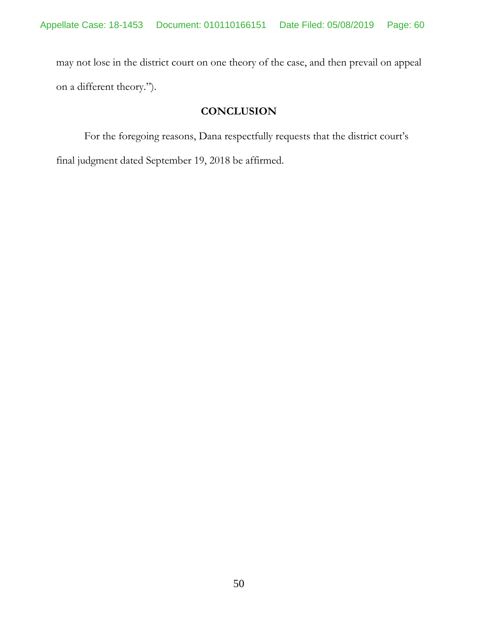may not lose in the district court on one theory of the case, and then prevail on appeal on a different theory.").

# **CONCLUSION**

For the foregoing reasons, Dana respectfully requests that the district court's final judgment dated September 19, 2018 be affirmed.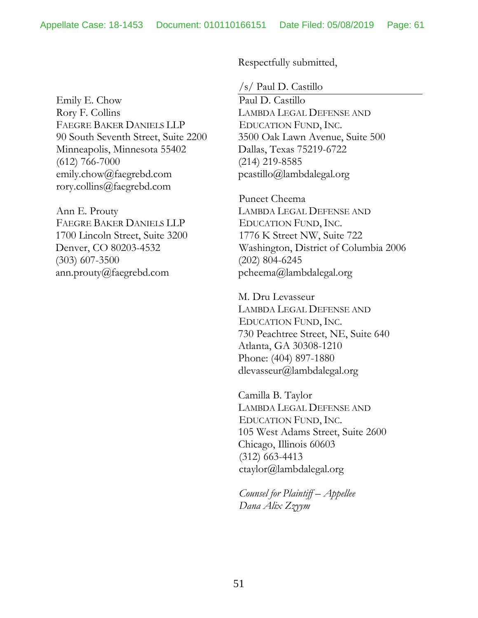Emily E. Chow Rory F. Collins FAEGRE BAKER DANIELS LLP 90 South Seventh Street, Suite 2200 Minneapolis, Minnesota 55402 (612) 766-7000 emily.chow@faegrebd.com rory.collins@faegrebd.com

Ann E. Prouty FAEGRE BAKER DANIELS LLP 1700 Lincoln Street, Suite 3200 Denver, CO 80203-4532 (303) 607-3500 ann.prouty@faegrebd.com

Respectfully submitted,

/s/ Paul D. Castillo

Paul D. Castillo LAMBDA LEGAL DEFENSE AND EDUCATION FUND, INC. 3500 Oak Lawn Avenue, Suite 500 Dallas, Texas 75219-6722 (214) 219-8585 pcastillo@lambdalegal.org

Puneet Cheema LAMBDA LEGAL DEFENSE AND EDUCATION FUND, INC. 1776 K Street NW, Suite 722 Washington, District of Columbia 2006 (202) 804-6245 pcheema@lambdalegal.org

M. Dru Levasseur LAMBDA LEGAL DEFENSE AND EDUCATION FUND, INC. 730 Peachtree Street, NE, Suite 640 Atlanta, GA 30308-1210 Phone: (404) 897-1880 dlevasseur@lambdalegal.org

Camilla B. Taylor LAMBDA LEGAL DEFENSE AND EDUCATION FUND, INC. 105 West Adams Street, Suite 2600 Chicago, Illinois 60603 (312) 663-4413 ctaylor@lambdalegal.org

*Counsel for Plaintiff – Appellee Dana Alix Zzyym*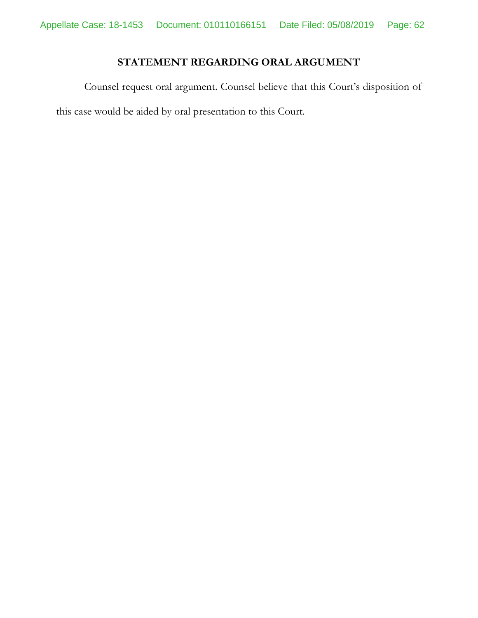# **STATEMENT REGARDING ORAL ARGUMENT**

Counsel request oral argument. Counsel believe that this Court's disposition of this case would be aided by oral presentation to this Court.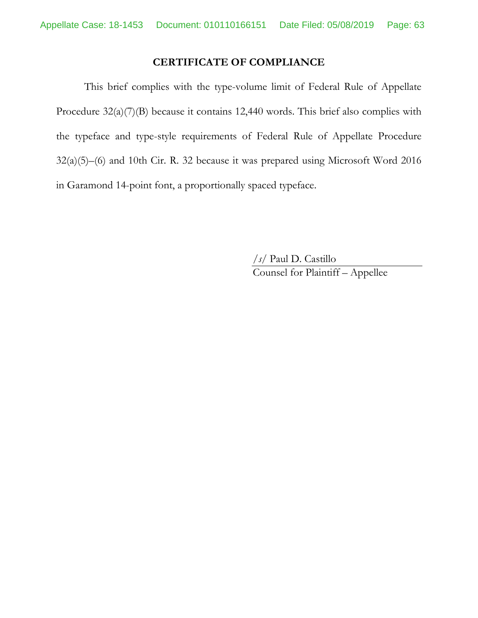### <span id="page-62-0"></span>**CERTIFICATE OF COMPLIANCE**

This brief complies with the type-volume limit of Federal Rule of Appellate Procedure  $32(a)(7)(B)$  because it contains 12,440 words. This brief also complies with the typeface and type-style requirements of Federal Rule of Appellate Procedure 32(a)(5)–(6) and 10th Cir. R. 32 because it was prepared using Microsoft Word 2016 in Garamond 14-point font, a proportionally spaced typeface.

> <span id="page-62-1"></span>*/s/* Paul D. Castillo Counsel for Plaintiff – Appellee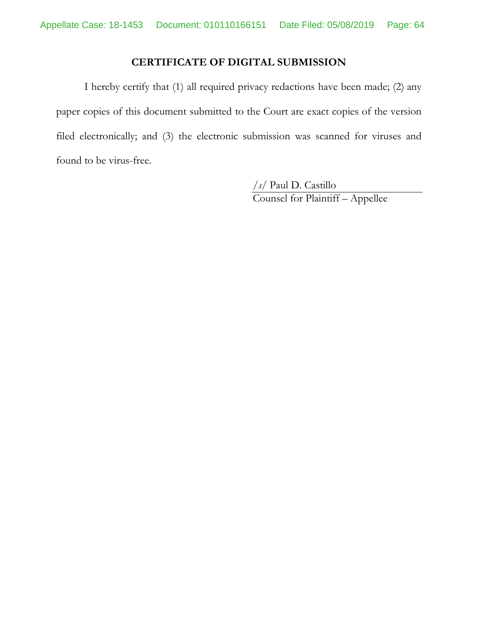# **CERTIFICATE OF DIGITAL SUBMISSION**

I hereby certify that (1) all required privacy redactions have been made; (2) any paper copies of this document submitted to the Court are exact copies of the version filed electronically; and (3) the electronic submission was scanned for viruses and found to be virus-free.

> */s/* Paul D. Castillo Counsel for Plaintiff – Appellee